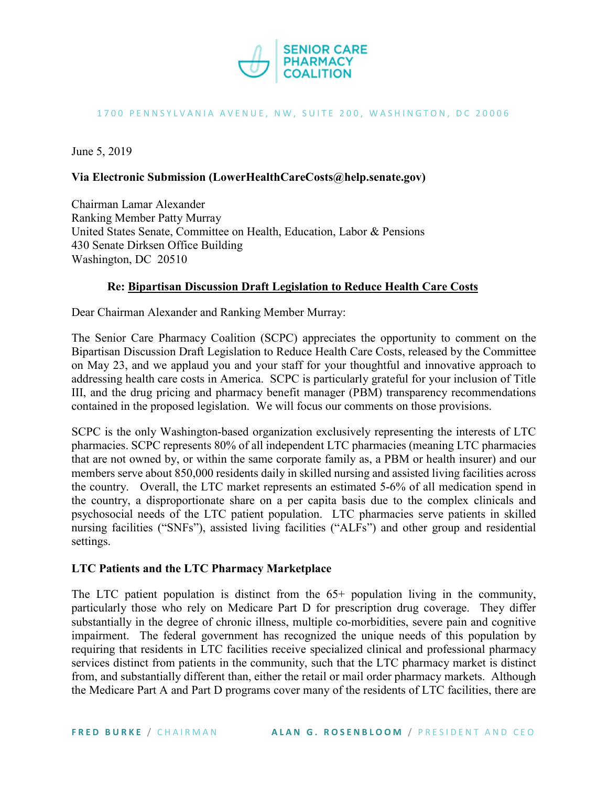

#### 1700 PENNSYLVANIA AVENUE, NW, SUITE 200, WASHINGTON, DC 20006

June 5, 2019

### **Via Electronic Submission (LowerHealthCareCosts@help.senate.gov)**

Chairman Lamar Alexander Ranking Member Patty Murray United States Senate, Committee on Health, Education, Labor & Pensions 430 Senate Dirksen Office Building Washington, DC 20510

### **Re: Bipartisan Discussion Draft Legislation to Reduce Health Care Costs**

Dear Chairman Alexander and Ranking Member Murray:

The Senior Care Pharmacy Coalition (SCPC) appreciates the opportunity to comment on the Bipartisan Discussion Draft Legislation to Reduce Health Care Costs, released by the Committee on May 23, and we applaud you and your staff for your thoughtful and innovative approach to addressing health care costs in America. SCPC is particularly grateful for your inclusion of Title III, and the drug pricing and pharmacy benefit manager (PBM) transparency recommendations contained in the proposed legislation. We will focus our comments on those provisions.

SCPC is the only Washington-based organization exclusively representing the interests of LTC pharmacies. SCPC represents 80% of all independent LTC pharmacies (meaning LTC pharmacies that are not owned by, or within the same corporate family as, a PBM or health insurer) and our members serve about 850,000 residents daily in skilled nursing and assisted living facilities across the country. Overall, the LTC market represents an estimated 5-6% of all medication spend in the country, a disproportionate share on a per capita basis due to the complex clinicals and psychosocial needs of the LTC patient population. LTC pharmacies serve patients in skilled nursing facilities ("SNFs"), assisted living facilities ("ALFs") and other group and residential settings.

### **LTC Patients and the LTC Pharmacy Marketplace**

The LTC patient population is distinct from the 65+ population living in the community, particularly those who rely on Medicare Part D for prescription drug coverage. They differ substantially in the degree of chronic illness, multiple co-morbidities, severe pain and cognitive impairment. The federal government has recognized the unique needs of this population by requiring that residents in LTC facilities receive specialized clinical and professional pharmacy services distinct from patients in the community, such that the LTC pharmacy market is distinct from, and substantially different than, either the retail or mail order pharmacy markets. Although the Medicare Part A and Part D programs cover many of the residents of LTC facilities, there are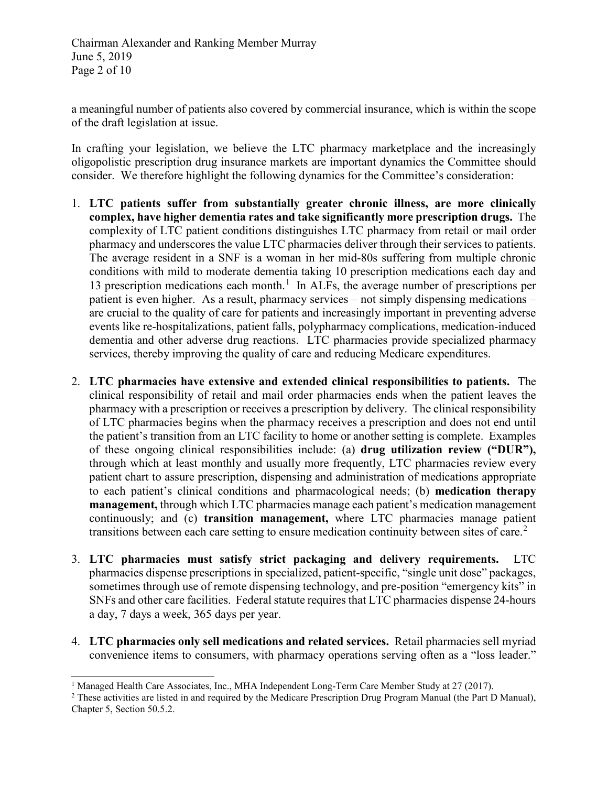a meaningful number of patients also covered by commercial insurance, which is within the scope of the draft legislation at issue.

In crafting your legislation, we believe the LTC pharmacy marketplace and the increasingly oligopolistic prescription drug insurance markets are important dynamics the Committee should consider. We therefore highlight the following dynamics for the Committee's consideration:

- 1. **LTC patients suffer from substantially greater chronic illness, are more clinically complex, have higher dementia rates and take significantly more prescription drugs.** The complexity of LTC patient conditions distinguishes LTC pharmacy from retail or mail order pharmacy and underscores the value LTC pharmacies deliver through their services to patients. The average resident in a SNF is a woman in her mid-80s suffering from multiple chronic conditions with mild to moderate dementia taking 10 prescription medications each day and [1](#page-1-0)3 prescription medications each month.<sup>1</sup> In ALFs, the average number of prescriptions per patient is even higher. As a result, pharmacy services – not simply dispensing medications – are crucial to the quality of care for patients and increasingly important in preventing adverse events like re-hospitalizations, patient falls, polypharmacy complications, medication-induced dementia and other adverse drug reactions. LTC pharmacies provide specialized pharmacy services, thereby improving the quality of care and reducing Medicare expenditures.
- 2. **LTC pharmacies have extensive and extended clinical responsibilities to patients.** The clinical responsibility of retail and mail order pharmacies ends when the patient leaves the pharmacy with a prescription or receives a prescription by delivery. The clinical responsibility of LTC pharmacies begins when the pharmacy receives a prescription and does not end until the patient's transition from an LTC facility to home or another setting is complete. Examples of these ongoing clinical responsibilities include: (a) **drug utilization review ("DUR"),**  through which at least monthly and usually more frequently, LTC pharmacies review every patient chart to assure prescription, dispensing and administration of medications appropriate to each patient's clinical conditions and pharmacological needs; (b) **medication therapy management,** through which LTC pharmacies manage each patient's medication management continuously; and (c) **transition management,** where LTC pharmacies manage patient transitions between each care setting to ensure medication continuity between sites of care.<sup>[2](#page-1-1)</sup>
- 3. **LTC pharmacies must satisfy strict packaging and delivery requirements.** LTC pharmacies dispense prescriptions in specialized, patient-specific, "single unit dose" packages, sometimes through use of remote dispensing technology, and pre-position "emergency kits" in SNFs and other care facilities. Federal statute requires that LTC pharmacies dispense 24-hours a day, 7 days a week, 365 days per year.
- 4. **LTC pharmacies only sell medications and related services.** Retail pharmacies sell myriad convenience items to consumers, with pharmacy operations serving often as a "loss leader."

<span id="page-1-0"></span><sup>&</sup>lt;sup>1</sup> Managed Health Care Associates, Inc., MHA Independent Long-Term Care Member Study at 27 (2017).

<span id="page-1-1"></span><sup>&</sup>lt;sup>2</sup> These activities are listed in and required by the Medicare Prescription Drug Program Manual (the Part D Manual), Chapter 5, Section 50.5.2.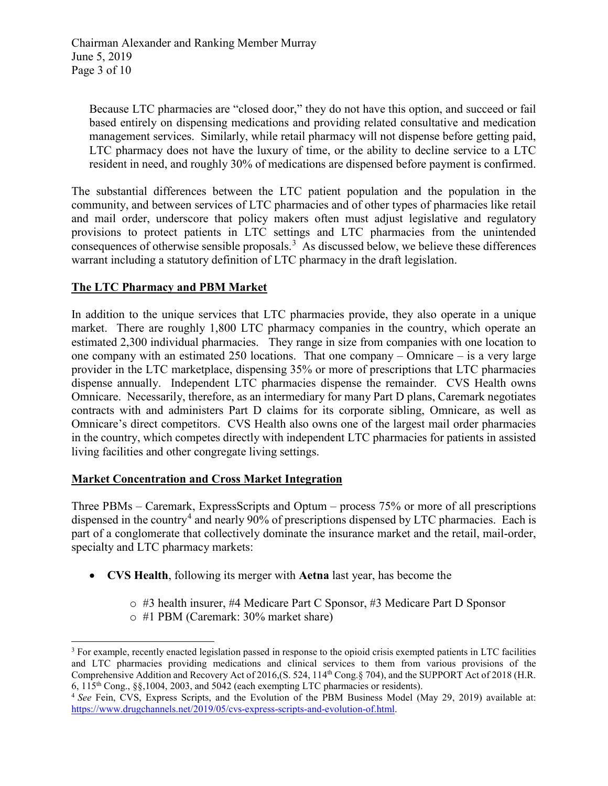Because LTC pharmacies are "closed door," they do not have this option, and succeed or fail based entirely on dispensing medications and providing related consultative and medication management services. Similarly, while retail pharmacy will not dispense before getting paid, LTC pharmacy does not have the luxury of time, or the ability to decline service to a LTC resident in need, and roughly 30% of medications are dispensed before payment is confirmed.

The substantial differences between the LTC patient population and the population in the community, and between services of LTC pharmacies and of other types of pharmacies like retail and mail order, underscore that policy makers often must adjust legislative and regulatory provisions to protect patients in LTC settings and LTC pharmacies from the unintended consequences of otherwise sensible proposals.<sup>[3](#page-2-0)</sup> As discussed below, we believe these differences warrant including a statutory definition of LTC pharmacy in the draft legislation.

# **The LTC Pharmacy and PBM Market**

In addition to the unique services that LTC pharmacies provide, they also operate in a unique market. There are roughly 1,800 LTC pharmacy companies in the country, which operate an estimated 2,300 individual pharmacies. They range in size from companies with one location to one company with an estimated 250 locations. That one company – Omnicare – is a very large provider in the LTC marketplace, dispensing 35% or more of prescriptions that LTC pharmacies dispense annually. Independent LTC pharmacies dispense the remainder. CVS Health owns Omnicare. Necessarily, therefore, as an intermediary for many Part D plans, Caremark negotiates contracts with and administers Part D claims for its corporate sibling, Omnicare, as well as Omnicare's direct competitors. CVS Health also owns one of the largest mail order pharmacies in the country, which competes directly with independent LTC pharmacies for patients in assisted living facilities and other congregate living settings.

### **Market Concentration and Cross Market Integration**

Three PBMs – Caremark, ExpressScripts and Optum – process 75% or more of all prescriptions dispensed in the country<sup>[4](#page-2-1)</sup> and nearly 90% of prescriptions dispensed by LTC pharmacies. Each is part of a conglomerate that collectively dominate the insurance market and the retail, mail-order, specialty and LTC pharmacy markets:

- **CVS Health**, following its merger with **Aetna** last year, has become the
	- o #3 health insurer, #4 Medicare Part C Sponsor, #3 Medicare Part D Sponsor
	- o #1 PBM (Caremark: 30% market share)

<span id="page-2-0"></span>j <sup>3</sup> For example, recently enacted legislation passed in response to the opioid crisis exempted patients in LTC facilities and LTC pharmacies providing medications and clinical services to them from various provisions of the Comprehensive Addition and Recovery Act of 2016,(S. 524, 114<sup>th</sup> Cong.§ 704), and the SUPPORT Act of 2018 (H.R. 6, 115<sup>th</sup> Cong., § \$,1004, 2003, and 5042 (each exempting LTC pharmacies or residents).

<span id="page-2-1"></span><sup>&</sup>lt;sup>4</sup> See Fein, CVS, Express Scripts, and the Evolution of the PBM Business Model (May 29, 2019) available at: [https://www.drugchannels.net/2019/05/cvs-express-scripts-and-evolution-of.html.](https://www.drugchannels.net/2019/05/cvs-express-scripts-and-evolution-of.html)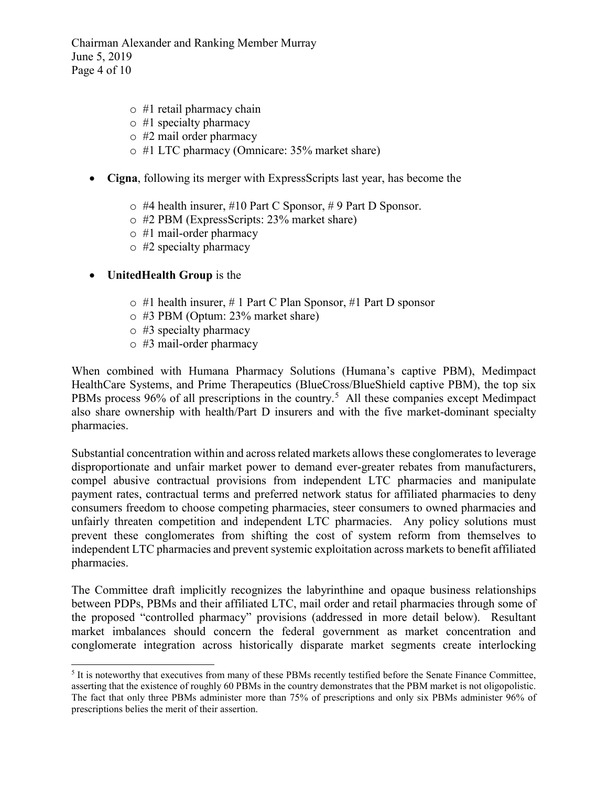Chairman Alexander and Ranking Member Murray June 5, 2019 Page 4 of 10

- o #1 retail pharmacy chain
- $\circ$  #1 specialty pharmacy
- o #2 mail order pharmacy
- o #1 LTC pharmacy (Omnicare: 35% market share)
- **Cigna**, following its merger with ExpressScripts last year, has become the
	- $\circ$  #4 health insurer, #10 Part C Sponsor, #9 Part D Sponsor.
	- o #2 PBM (ExpressScripts: 23% market share)
	- o #1 mail-order pharmacy
	- o #2 specialty pharmacy

### • **UnitedHealth Group** is the

- $\circ$  #1 health insurer, # 1 Part C Plan Sponsor, #1 Part D sponsor
- o #3 PBM (Optum: 23% market share)
- $\circ$  #3 specialty pharmacy
- o #3 mail-order pharmacy

When combined with Humana Pharmacy Solutions (Humana's captive PBM), Medimpact HealthCare Systems, and Prime Therapeutics (BlueCross/BlueShield captive PBM), the top six PBMs process 96% of all prescriptions in the country.<sup>[5](#page-3-0)</sup> All these companies except Medimpact also share ownership with health/Part D insurers and with the five market-dominant specialty pharmacies.

Substantial concentration within and across related markets allows these conglomerates to leverage disproportionate and unfair market power to demand ever-greater rebates from manufacturers, compel abusive contractual provisions from independent LTC pharmacies and manipulate payment rates, contractual terms and preferred network status for affiliated pharmacies to deny consumers freedom to choose competing pharmacies, steer consumers to owned pharmacies and unfairly threaten competition and independent LTC pharmacies. Any policy solutions must prevent these conglomerates from shifting the cost of system reform from themselves to independent LTC pharmacies and prevent systemic exploitation across markets to benefit affiliated pharmacies.

The Committee draft implicitly recognizes the labyrinthine and opaque business relationships between PDPs, PBMs and their affiliated LTC, mail order and retail pharmacies through some of the proposed "controlled pharmacy" provisions (addressed in more detail below). Resultant market imbalances should concern the federal government as market concentration and conglomerate integration across historically disparate market segments create interlocking

<span id="page-3-0"></span><sup>-</sup><sup>5</sup> It is noteworthy that executives from many of these PBMs recently testified before the Senate Finance Committee, asserting that the existence of roughly 60 PBMs in the country demonstrates that the PBM market is not oligopolistic. The fact that only three PBMs administer more than 75% of prescriptions and only six PBMs administer 96% of prescriptions belies the merit of their assertion.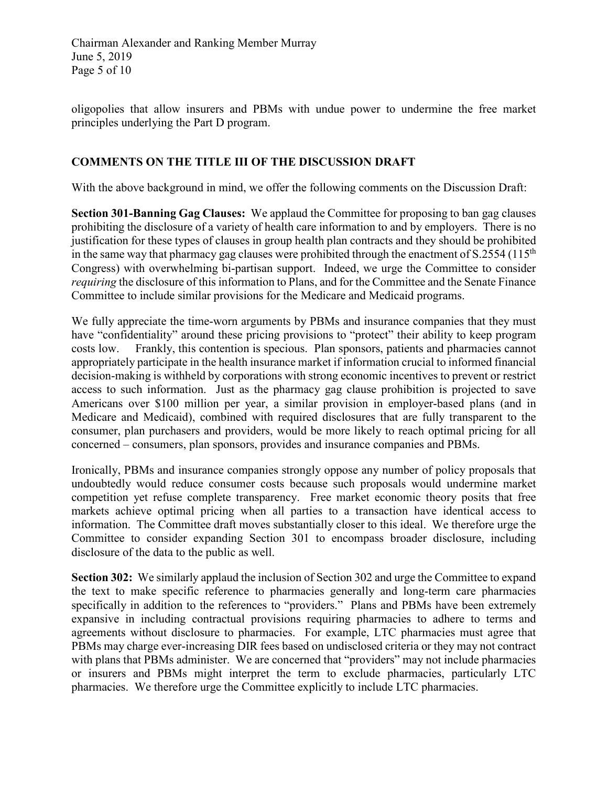oligopolies that allow insurers and PBMs with undue power to undermine the free market principles underlying the Part D program.

### **COMMENTS ON THE TITLE III OF THE DISCUSSION DRAFT**

With the above background in mind, we offer the following comments on the Discussion Draft:

**Section 301-Banning Gag Clauses:** We applaud the Committee for proposing to ban gag clauses prohibiting the disclosure of a variety of health care information to and by employers. There is no justification for these types of clauses in group health plan contracts and they should be prohibited in the same way that pharmacy gag clauses were prohibited through the enactment of  $S.2554$  (115<sup>th</sup>) Congress) with overwhelming bi-partisan support. Indeed, we urge the Committee to consider *requiring* the disclosure of this information to Plans, and for the Committee and the Senate Finance Committee to include similar provisions for the Medicare and Medicaid programs.

We fully appreciate the time-worn arguments by PBMs and insurance companies that they must have "confidentiality" around these pricing provisions to "protect" their ability to keep program costs low. Frankly, this contention is specious. Plan sponsors, patients and pharmacies cannot appropriately participate in the health insurance market if information crucial to informed financial decision-making is withheld by corporations with strong economic incentives to prevent or restrict access to such information. Just as the pharmacy gag clause prohibition is projected to save Americans over \$100 million per year, a similar provision in employer-based plans (and in Medicare and Medicaid), combined with required disclosures that are fully transparent to the consumer, plan purchasers and providers, would be more likely to reach optimal pricing for all concerned – consumers, plan sponsors, provides and insurance companies and PBMs.

Ironically, PBMs and insurance companies strongly oppose any number of policy proposals that undoubtedly would reduce consumer costs because such proposals would undermine market competition yet refuse complete transparency. Free market economic theory posits that free markets achieve optimal pricing when all parties to a transaction have identical access to information. The Committee draft moves substantially closer to this ideal. We therefore urge the Committee to consider expanding Section 301 to encompass broader disclosure, including disclosure of the data to the public as well.

**Section 302:** We similarly applaud the inclusion of Section 302 and urge the Committee to expand the text to make specific reference to pharmacies generally and long-term care pharmacies specifically in addition to the references to "providers." Plans and PBMs have been extremely expansive in including contractual provisions requiring pharmacies to adhere to terms and agreements without disclosure to pharmacies. For example, LTC pharmacies must agree that PBMs may charge ever-increasing DIR fees based on undisclosed criteria or they may not contract with plans that PBMs administer. We are concerned that "providers" may not include pharmacies or insurers and PBMs might interpret the term to exclude pharmacies, particularly LTC pharmacies. We therefore urge the Committee explicitly to include LTC pharmacies.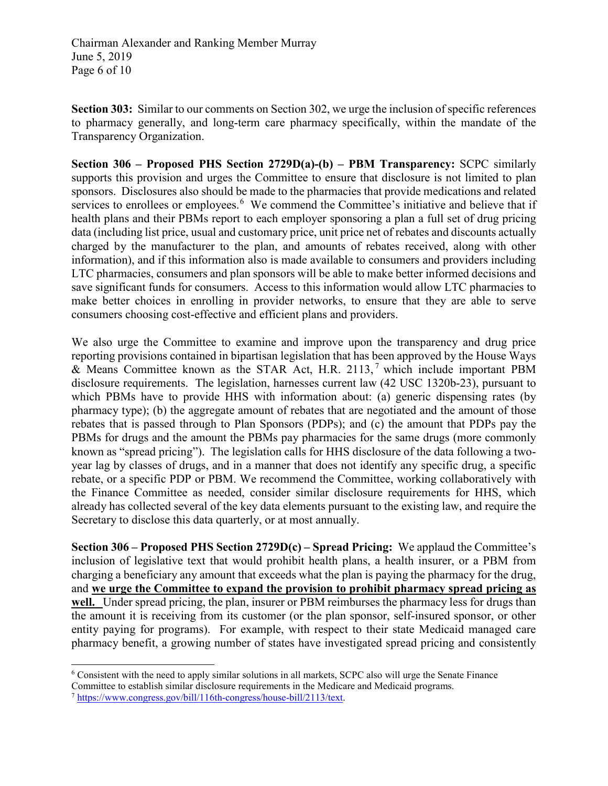Chairman Alexander and Ranking Member Murray June 5, 2019 Page 6 of 10

**Section 303:** Similar to our comments on Section 302, we urge the inclusion of specific references to pharmacy generally, and long-term care pharmacy specifically, within the mandate of the Transparency Organization.

**Section 306 – Proposed PHS Section 2729D(a)-(b) – PBM Transparency:** SCPC similarly supports this provision and urges the Committee to ensure that disclosure is not limited to plan sponsors. Disclosures also should be made to the pharmacies that provide medications and related services to enrollees or employees.<sup>[6](#page-5-0)</sup> We commend the Committee's initiative and believe that if health plans and their PBMs report to each employer sponsoring a plan a full set of drug pricing data (including list price, usual and customary price, unit price net of rebates and discounts actually charged by the manufacturer to the plan, and amounts of rebates received, along with other information), and if this information also is made available to consumers and providers including LTC pharmacies, consumers and plan sponsors will be able to make better informed decisions and save significant funds for consumers. Access to this information would allow LTC pharmacies to make better choices in enrolling in provider networks, to ensure that they are able to serve consumers choosing cost-effective and efficient plans and providers.

We also urge the Committee to examine and improve upon the transparency and drug price reporting provisions contained in bipartisan legislation that has been approved by the House Ways & Means Committee known as the STAR Act, H.R. 2113, [7](#page-5-1) which include important PBM disclosure requirements. The legislation, harnesses current law (42 USC 1320b-23), pursuant to which PBMs have to provide HHS with information about: (a) generic dispensing rates (by pharmacy type); (b) the aggregate amount of rebates that are negotiated and the amount of those rebates that is passed through to Plan Sponsors (PDPs); and (c) the amount that PDPs pay the PBMs for drugs and the amount the PBMs pay pharmacies for the same drugs (more commonly known as "spread pricing"). The legislation calls for HHS disclosure of the data following a twoyear lag by classes of drugs, and in a manner that does not identify any specific drug, a specific rebate, or a specific PDP or PBM. We recommend the Committee, working collaboratively with the Finance Committee as needed, consider similar disclosure requirements for HHS, which already has collected several of the key data elements pursuant to the existing law, and require the Secretary to disclose this data quarterly, or at most annually.

**Section 306 – Proposed PHS Section 2729D(c) – Spread Pricing:** We applaud the Committee's inclusion of legislative text that would prohibit health plans, a health insurer, or a PBM from charging a beneficiary any amount that exceeds what the plan is paying the pharmacy for the drug, and **we urge the Committee to expand the provision to prohibit pharmacy spread pricing as**  well. Under spread pricing, the plan, insurer or PBM reimburses the pharmacy less for drugs than the amount it is receiving from its customer (or the plan sponsor, self-insured sponsor, or other entity paying for programs). For example, with respect to their state Medicaid managed care pharmacy benefit, a growing number of states have investigated spread pricing and consistently

<span id="page-5-0"></span><sup>-</sup><sup>6</sup> Consistent with the need to apply similar solutions in all markets, SCPC also will urge the Senate Finance

Committee to establish similar disclosure requirements in the Medicare and Medicaid programs.

<span id="page-5-1"></span><sup>7</sup> [https://www.congress.gov/bill/116th-congress/house-bill/2113/text.](https://www.congress.gov/bill/116th-congress/house-bill/2113/text)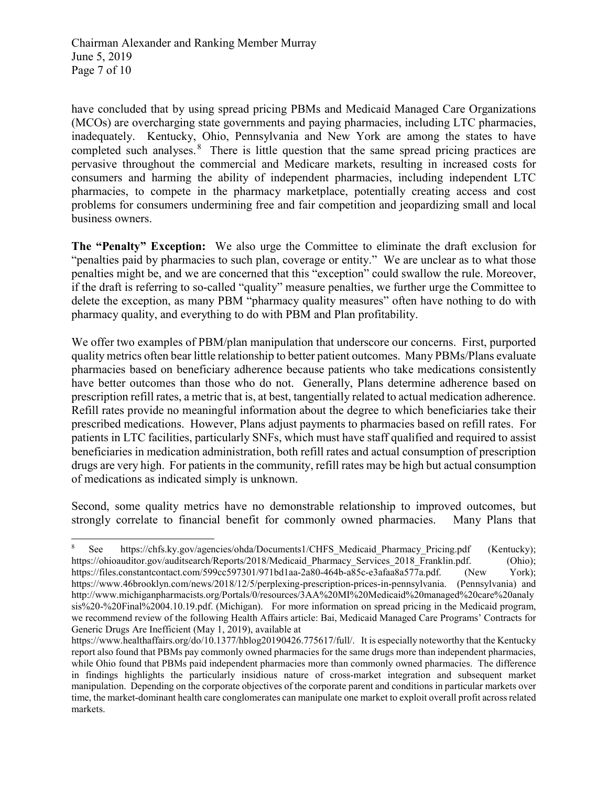have concluded that by using spread pricing PBMs and Medicaid Managed Care Organizations (MCOs) are overcharging state governments and paying pharmacies, including LTC pharmacies, inadequately. Kentucky, Ohio, Pennsylvania and New York are among the states to have completed such analyses. <sup>[8](#page-6-0)</sup> There is little question that the same spread pricing practices are pervasive throughout the commercial and Medicare markets, resulting in increased costs for consumers and harming the ability of independent pharmacies, including independent LTC pharmacies, to compete in the pharmacy marketplace, potentially creating access and cost problems for consumers undermining free and fair competition and jeopardizing small and local business owners.

**The "Penalty" Exception:** We also urge the Committee to eliminate the draft exclusion for "penalties paid by pharmacies to such plan, coverage or entity." We are unclear as to what those penalties might be, and we are concerned that this "exception" could swallow the rule. Moreover, if the draft is referring to so-called "quality" measure penalties, we further urge the Committee to delete the exception, as many PBM "pharmacy quality measures" often have nothing to do with pharmacy quality, and everything to do with PBM and Plan profitability.

We offer two examples of PBM/plan manipulation that underscore our concerns. First, purported quality metrics often bear little relationship to better patient outcomes. Many PBMs/Plans evaluate pharmacies based on beneficiary adherence because patients who take medications consistently have better outcomes than those who do not. Generally, Plans determine adherence based on prescription refill rates, a metric that is, at best, tangentially related to actual medication adherence. Refill rates provide no meaningful information about the degree to which beneficiaries take their prescribed medications. However, Plans adjust payments to pharmacies based on refill rates. For patients in LTC facilities, particularly SNFs, which must have staff qualified and required to assist beneficiaries in medication administration, both refill rates and actual consumption of prescription drugs are very high. For patients in the community, refill rates may be high but actual consumption of medications as indicated simply is unknown.

Second, some quality metrics have no demonstrable relationship to improved outcomes, but strongly correlate to financial benefit for commonly owned pharmacies. Many Plans that

<span id="page-6-0"></span>j <sup>8</sup> See [https://chfs.ky.gov/agencies/ohda/Documents1/CHFS\\_Medicaid\\_Pharmacy\\_Pricing.pdf](https://chfs.ky.gov/agencies/ohda/Documents1/CHFS_Medicaid_Pharmacy_Pricing.pdf) (Kentucky); [https://ohioauditor.gov/auditsearch/Reports/2018/Medicaid\\_Pharmacy\\_Services\\_2018\\_Franklin.pdf.](https://ohioauditor.gov/auditsearch/Reports/2018/Medicaid_Pharmacy_Services_2018_Franklin.pdf) (Ohio); [https://files.constantcontact.com/599cc597301/971bd1aa-2a80-464b-a85c-e3afaa8a577a.pdf.](https://files.constantcontact.com/599cc597301/971bd1aa-2a80-464b-a85c-e3afaa8a577a.pdf) (New York); [https://www.46brooklyn.com/news/2018/12/5/perplexing-prescription-prices-in-pennsylvania.](https://www.46brooklyn.com/news/2018/12/5/perplexing-prescription-prices-in-pennsylvania) (Pennsylvania) and [http://www.michiganpharmacists.org/Portals/0/resources/3AA%20MI%20Medicaid%20managed%20care%20analy](http://www.michiganpharmacists.org/Portals/0/resources/3AA%20MI%20Medicaid%20managed%20care%20analysis%20-%20Final%2004.10.19.pdf) [sis%20-%20Final%2004.10.19.pdf.](http://www.michiganpharmacists.org/Portals/0/resources/3AA%20MI%20Medicaid%20managed%20care%20analysis%20-%20Final%2004.10.19.pdf) (Michigan). For more information on spread pricing in the Medicaid program, we recommend review of the following Health Affairs article: Bai, Medicaid Managed Care Programs' Contracts for Generic Drugs Are Inefficient (May 1, 2019), available at

[https://www.healthaffairs.org/do/10.1377/hblog20190426.775617/full/.](https://www.healthaffairs.org/do/10.1377/hblog20190426.775617/full/) It is especially noteworthy that the Kentucky report also found that PBMs pay commonly owned pharmacies for the same drugs more than independent pharmacies, while Ohio found that PBMs paid independent pharmacies more than commonly owned pharmacies. The difference in findings highlights the particularly insidious nature of cross-market integration and subsequent market manipulation. Depending on the corporate objectives of the corporate parent and conditions in particular markets over time, the market-dominant health care conglomerates can manipulate one market to exploit overall profit across related markets.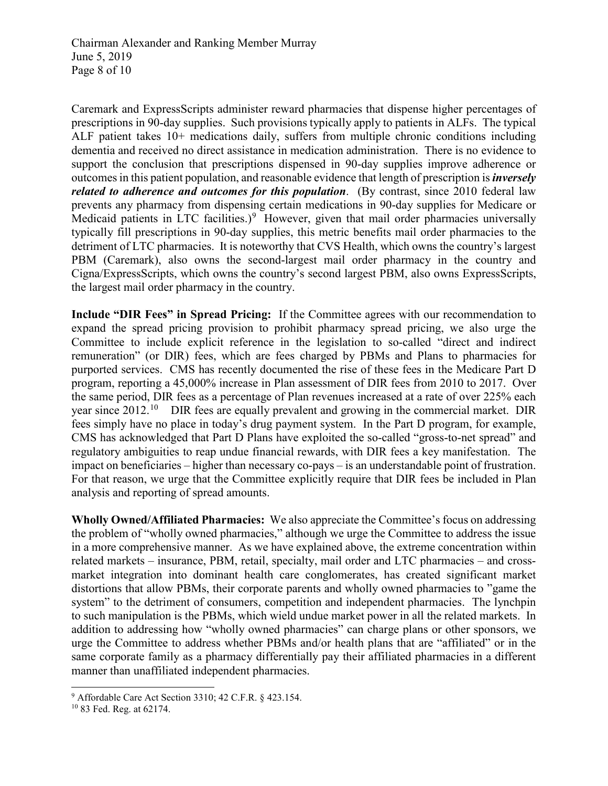Chairman Alexander and Ranking Member Murray June 5, 2019 Page 8 of 10

Caremark and ExpressScripts administer reward pharmacies that dispense higher percentages of prescriptions in 90-day supplies. Such provisions typically apply to patients in ALFs. The typical ALF patient takes 10+ medications daily, suffers from multiple chronic conditions including dementia and received no direct assistance in medication administration. There is no evidence to support the conclusion that prescriptions dispensed in 90-day supplies improve adherence or outcomes in this patient population, and reasonable evidence that length of prescription is *inversely related to adherence and outcomes for this population*. (By contrast, since 2010 federal law prevents any pharmacy from dispensing certain medications in 90-day supplies for Medicare or Medicaid patients in LTC facilities.) $9$  However, given that mail order pharmacies universally typically fill prescriptions in 90-day supplies, this metric benefits mail order pharmacies to the detriment of LTC pharmacies. It is noteworthy that CVS Health, which owns the country's largest PBM (Caremark), also owns the second-largest mail order pharmacy in the country and Cigna/ExpressScripts, which owns the country's second largest PBM, also owns ExpressScripts, the largest mail order pharmacy in the country.

**Include "DIR Fees" in Spread Pricing:** If the Committee agrees with our recommendation to expand the spread pricing provision to prohibit pharmacy spread pricing, we also urge the Committee to include explicit reference in the legislation to so-called "direct and indirect remuneration" (or DIR) fees, which are fees charged by PBMs and Plans to pharmacies for purported services. CMS has recently documented the rise of these fees in the Medicare Part D program, reporting a 45,000% increase in Plan assessment of DIR fees from 2010 to 2017. Over the same period, DIR fees as a percentage of Plan revenues increased at a rate of over 225% each year since  $2012<sup>10</sup>$  $2012<sup>10</sup>$  $2012<sup>10</sup>$  DIR fees are equally prevalent and growing in the commercial market. DIR fees simply have no place in today's drug payment system. In the Part D program, for example, CMS has acknowledged that Part D Plans have exploited the so-called "gross-to-net spread" and regulatory ambiguities to reap undue financial rewards, with DIR fees a key manifestation. The impact on beneficiaries – higher than necessary co-pays – is an understandable point of frustration. For that reason, we urge that the Committee explicitly require that DIR fees be included in Plan analysis and reporting of spread amounts.

**Wholly Owned/Affiliated Pharmacies:** We also appreciate the Committee's focus on addressing the problem of "wholly owned pharmacies," although we urge the Committee to address the issue in a more comprehensive manner. As we have explained above, the extreme concentration within related markets – insurance, PBM, retail, specialty, mail order and LTC pharmacies – and crossmarket integration into dominant health care conglomerates, has created significant market distortions that allow PBMs, their corporate parents and wholly owned pharmacies to "game the system" to the detriment of consumers, competition and independent pharmacies. The lynchpin to such manipulation is the PBMs, which wield undue market power in all the related markets. In addition to addressing how "wholly owned pharmacies" can charge plans or other sponsors, we urge the Committee to address whether PBMs and/or health plans that are "affiliated" or in the same corporate family as a pharmacy differentially pay their affiliated pharmacies in a different manner than unaffiliated independent pharmacies.

-

<span id="page-7-0"></span><sup>&</sup>lt;sup>9</sup> Affordable Care Act Section 3310; 42 C.F.R. § 423.154.  $^{10}$  83 Fed. Reg. at 62174.

<span id="page-7-1"></span>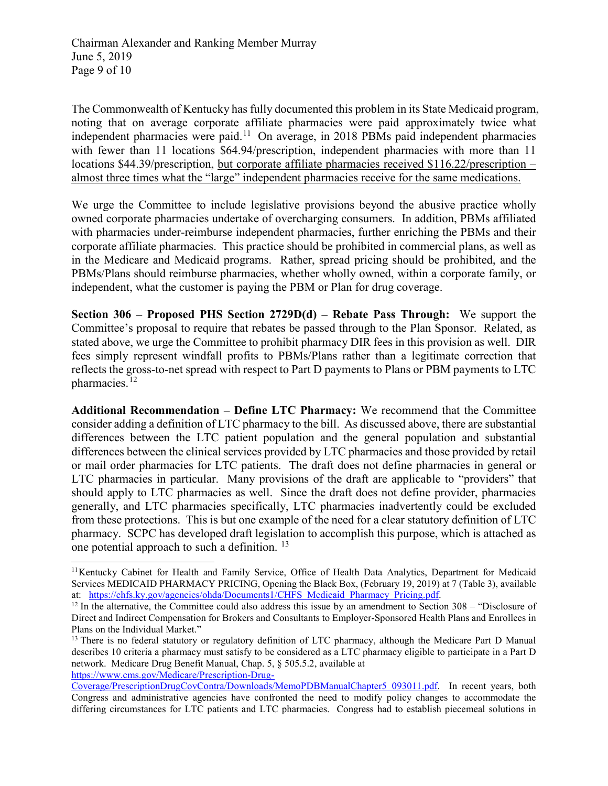The Commonwealth of Kentucky has fully documented this problem in its State Medicaid program, noting that on average corporate affiliate pharmacies were paid approximately twice what independent pharmacies were paid.<sup>11</sup> On average, in 2018 PBMs paid independent pharmacies with fewer than 11 locations \$64.94/prescription, independent pharmacies with more than 11 locations \$44.39/prescription, but corporate affiliate pharmacies received \$116.22/prescription – almost three times what the "large" independent pharmacies receive for the same medications.

We urge the Committee to include legislative provisions beyond the abusive practice wholly owned corporate pharmacies undertake of overcharging consumers. In addition, PBMs affiliated with pharmacies under-reimburse independent pharmacies, further enriching the PBMs and their corporate affiliate pharmacies. This practice should be prohibited in commercial plans, as well as in the Medicare and Medicaid programs. Rather, spread pricing should be prohibited, and the PBMs/Plans should reimburse pharmacies, whether wholly owned, within a corporate family, or independent, what the customer is paying the PBM or Plan for drug coverage.

**Section 306 – Proposed PHS Section 2729D(d) – Rebate Pass Through:** We support the Committee's proposal to require that rebates be passed through to the Plan Sponsor. Related, as stated above, we urge the Committee to prohibit pharmacy DIR fees in this provision as well. DIR fees simply represent windfall profits to PBMs/Plans rather than a legitimate correction that reflects the gross-to-net spread with respect to Part D payments to Plans or PBM payments to LTC pharmacies.<sup>[12](#page-8-1)</sup>

**Additional Recommendation – Define LTC Pharmacy:** We recommend that the Committee consider adding a definition of LTC pharmacy to the bill. As discussed above, there are substantial differences between the LTC patient population and the general population and substantial differences between the clinical services provided by LTC pharmacies and those provided by retail or mail order pharmacies for LTC patients. The draft does not define pharmacies in general or LTC pharmacies in particular. Many provisions of the draft are applicable to "providers" that should apply to LTC pharmacies as well. Since the draft does not define provider, pharmacies generally, and LTC pharmacies specifically, LTC pharmacies inadvertently could be excluded from these protections. This is but one example of the need for a clear statutory definition of LTC pharmacy. SCPC has developed draft legislation to accomplish this purpose, which is attached as one potential approach to such a definition. [13](#page-8-2)

[https://www.cms.gov/Medicare/Prescription-Drug-](https://www.cms.gov/Medicare/Prescription-Drug-Coverage/PrescriptionDrugCovContra/Downloads/MemoPDBManualChapter5_093011.pdf)

<span id="page-8-0"></span>j <sup>11</sup>Kentucky Cabinet for Health and Family Service, Office of Health Data Analytics, Department for Medicaid Services MEDICAID PHARMACY PRICING, Opening the Black Box, (February 19, 2019) at 7 (Table 3), available at: https://chfs.ky.gov/agencies/ohda/Documents1/CHFS Medicaid Pharmacy Pricing.pdf.

<span id="page-8-1"></span><sup>&</sup>lt;sup>12</sup> In the alternative, the Committee could also address this issue by an amendment to Section 308 – "Disclosure of Direct and Indirect Compensation for Brokers and Consultants to Employer-Sponsored Health Plans and Enrollees in Plans on the Individual Market."

<span id="page-8-2"></span><sup>&</sup>lt;sup>13</sup> There is no federal statutory or regulatory definition of LTC pharmacy, although the Medicare Part D Manual describes 10 criteria a pharmacy must satisfy to be considered as a LTC pharmacy eligible to participate in a Part D network. Medicare Drug Benefit Manual, Chap. 5, § 505.5.2, available at

[Coverage/PrescriptionDrugCovContra/Downloads/MemoPDBManualChapter5\\_093011.pdf.](https://www.cms.gov/Medicare/Prescription-Drug-Coverage/PrescriptionDrugCovContra/Downloads/MemoPDBManualChapter5_093011.pdf) In recent years, both Congress and administrative agencies have confronted the need to modify policy changes to accommodate the differing circumstances for LTC patients and LTC pharmacies. Congress had to establish piecemeal solutions in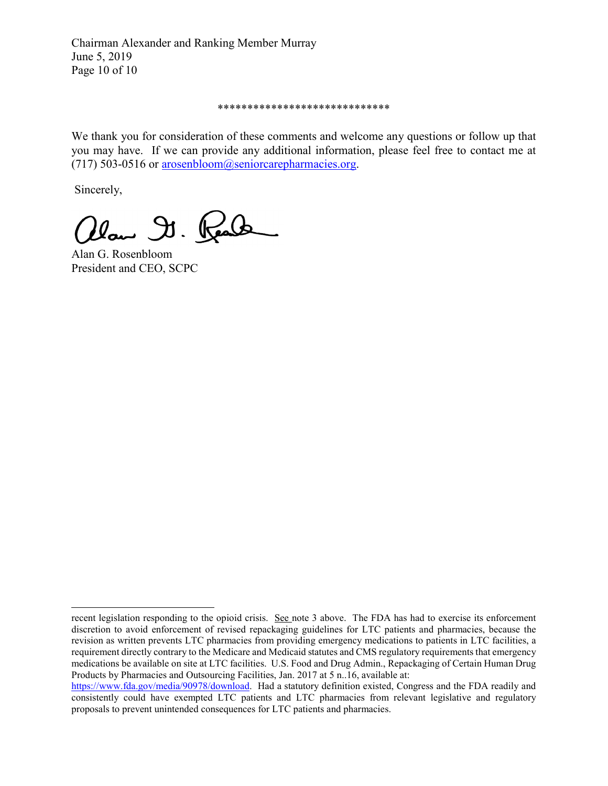Chairman Alexander and Ranking Member Murray June 5, 2019 Page 10 of 10

#### \*\*\*\*\*\*\*\*\*\*\*\*\*\*\*\*\*\*\*\*\*\*\*\*\*\*\*\*\*

We thank you for consideration of these comments and welcome any questions or follow up that you may have. If we can provide any additional information, please feel free to contact me at (717) 503-0516 or [arosenbloom@seniorcarepharmacies.org.](mailto:arosenbloom@seniorcarepharmacies.org)

Sincerely,

j

alan D. Real

Alan G. Rosenbloom President and CEO, SCPC

recent legislation responding to the opioid crisis. See note 3 above. The FDA has had to exercise its enforcement discretion to avoid enforcement of revised repackaging guidelines for LTC patients and pharmacies, because the revision as written prevents LTC pharmacies from providing emergency medications to patients in LTC facilities, a requirement directly contrary to the Medicare and Medicaid statutes and CMS regulatory requirements that emergency medications be available on site at LTC facilities. U.S. Food and Drug Admin., Repackaging of Certain Human Drug Products by Pharmacies and Outsourcing Facilities, Jan. 2017 at 5 n..16, available at:

[https://www.fda.gov/media/90978/download.](https://www.fda.gov/media/90978/download) Had a statutory definition existed, Congress and the FDA readily and consistently could have exempted LTC patients and LTC pharmacies from relevant legislative and regulatory proposals to prevent unintended consequences for LTC patients and pharmacies.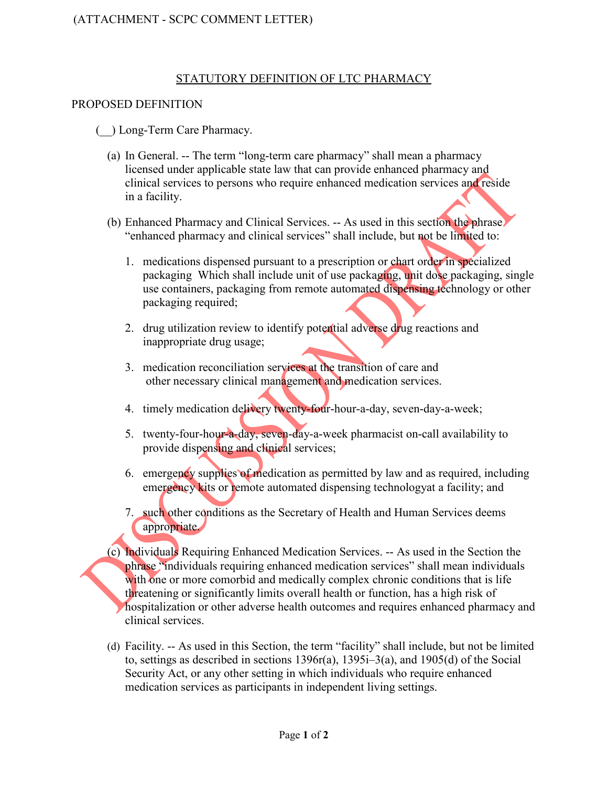### STATUTORY DEFINITION OF LTC PHARMACY

### PROPOSED DEFINITION

(\_\_) Long-Term Care Pharmacy.

- (a) In General. -- The term "long-term care pharmacy" shall mean a pharmacy licensed under applicable state law that can provide enhanced pharmacy and clinical services to persons who require enhanced medication services and reside in a facility.
- (b) Enhanced Pharmacy and Clinical Services. -- As used in this section the phrase "enhanced pharmacy and clinical services" shall include, but not be limited to:
	- 1. medications dispensed pursuant to a prescription or chart order in specialized packaging Which shall include unit of use packaging, unit dose packaging, single use containers, packaging from remote automated dispensing technology or other packaging required;
	- 2. drug utilization review to identify potential adverse drug reactions and inappropriate drug usage;
	- 3. medication reconciliation services at the transition of care and other necessary clinical management and medication services.
	- 4. timely medication delivery twenty-four-hour-a-day, seven-day-a-week;
	- 5. twenty-four-hour-a-day, seven-day-a-week pharmacist on-call availability to provide dispensing and clinical services;
	- 6. emergency supplies of medication as permitted by law and as required, including emergency kits or remote automated dispensing technologyat a facility; and
	- 7. such other conditions as the Secretary of Health and Human Services deems appropriate.
- (c) Individuals Requiring Enhanced Medication Services. -- As used in the Section the phrase "individuals requiring enhanced medication services" shall mean individuals with one or more comorbid and medically complex chronic conditions that is life threatening or significantly limits overall health or function, has a high risk of hospitalization or other adverse health outcomes and requires enhanced pharmacy and clinical services.
- (d) Facility. -- As used in this Section, the term "facility" shall include, but not be limited to, settings as described in sections  $1396r(a)$ ,  $1395i-3(a)$ , and  $1905(d)$  of the Social Security Act, or any other setting in which individuals who require enhanced medication services as participants in independent living settings.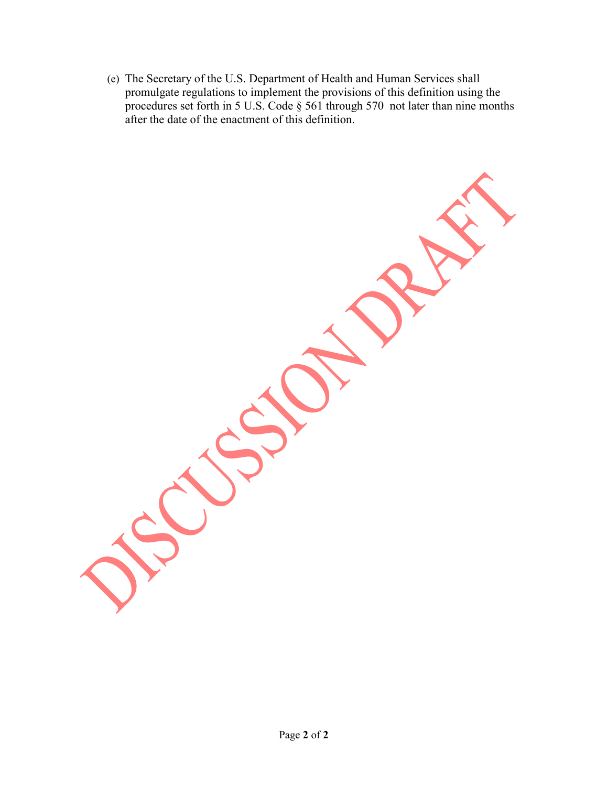(e) The Secretary of the U.S. Department of Health and Human Services shall promulgate regulations to implement the provisions of this definition using the procedures set forth in 5 U.S. Code § 561 through 570 not later than nine months after the date of the enactment of this definition.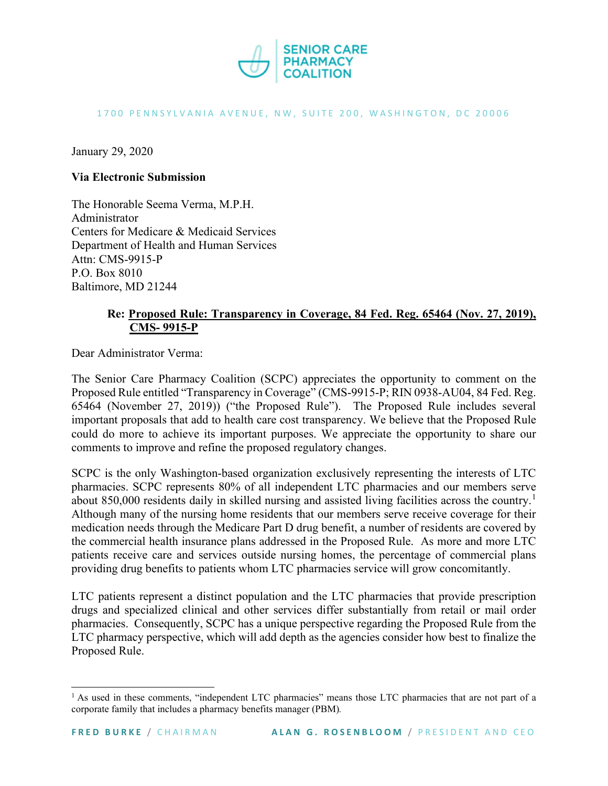

#### 1700 PENNSYLVANIA AVENUE, NW, SUITE 200, WASHINGTON, DC 20006

January 29, 2020

#### **Via Electronic Submission**

The Honorable Seema Verma, M.P.H. Administrator Centers for Medicare & Medicaid Services Department of Health and Human Services Attn: CMS-9915-P P.O. Box 8010 Baltimore, MD 21244

### **Re: Proposed Rule: Transparency in Coverage, 84 Fed. Reg. 65464 (Nov. 27, 2019), CMS- 9915-P**

Dear Administrator Verma:

The Senior Care Pharmacy Coalition (SCPC) appreciates the opportunity to comment on the Proposed Rule entitled "Transparency in Coverage" (CMS-9915-P; RIN 0938-AU04, 84 Fed. Reg. 65464 (November 27, 2019)) ("the Proposed Rule"). The Proposed Rule includes several important proposals that add to health care cost transparency. We believe that the Proposed Rule could do more to achieve its important purposes. We appreciate the opportunity to share our comments to improve and refine the proposed regulatory changes.

SCPC is the only Washington-based organization exclusively representing the interests of LTC pharmacies. SCPC represents 80% of all independent LTC pharmacies and our members serve about 850,000 residents daily in skilled nursing and assisted living facilities across the country.<sup>[1](#page-12-0)</sup> Although many of the nursing home residents that our members serve receive coverage for their medication needs through the Medicare Part D drug benefit, a number of residents are covered by the commercial health insurance plans addressed in the Proposed Rule. As more and more LTC patients receive care and services outside nursing homes, the percentage of commercial plans providing drug benefits to patients whom LTC pharmacies service will grow concomitantly.

LTC patients represent a distinct population and the LTC pharmacies that provide prescription drugs and specialized clinical and other services differ substantially from retail or mail order pharmacies. Consequently, SCPC has a unique perspective regarding the Proposed Rule from the LTC pharmacy perspective, which will add depth as the agencies consider how best to finalize the Proposed Rule.

<span id="page-12-0"></span><sup>&</sup>lt;sup>1</sup> As used in these comments, "independent LTC pharmacies" means those LTC pharmacies that are not part of a corporate family that includes a pharmacy benefits manager (PBM)*.*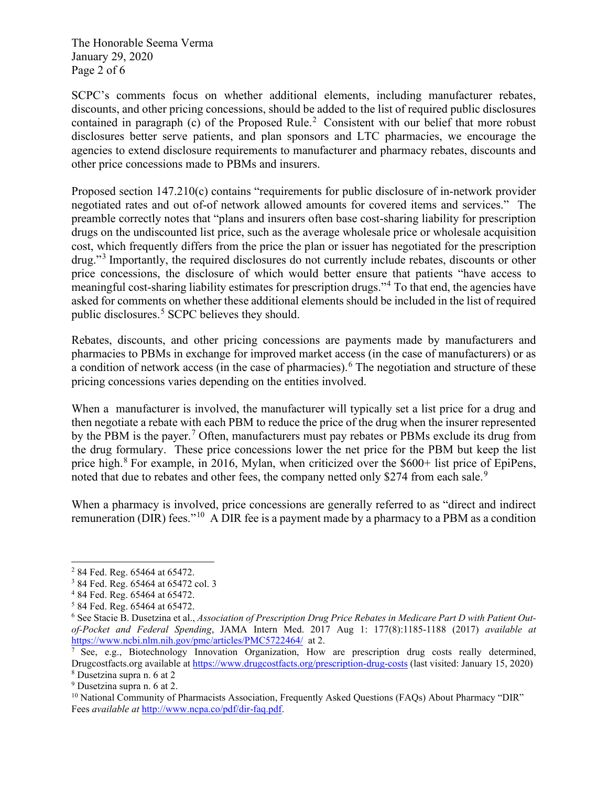The Honorable Seema Verma January 29, 2020 Page 2 of 6

SCPC's comments focus on whether additional elements, including manufacturer rebates, discounts, and other pricing concessions, should be added to the list of required public disclosures contained in paragraph (c) of the Proposed Rule.<sup>[2](#page-13-0)</sup> Consistent with our belief that more robust disclosures better serve patients, and plan sponsors and LTC pharmacies, we encourage the agencies to extend disclosure requirements to manufacturer and pharmacy rebates, discounts and other price concessions made to PBMs and insurers.

Proposed section 147.210(c) contains "requirements for public disclosure of in-network provider negotiated rates and out of-of network allowed amounts for covered items and services." The preamble correctly notes that "plans and insurers often base cost-sharing liability for prescription drugs on the undiscounted list price, such as the average wholesale price or wholesale acquisition cost, which frequently differs from the price the plan or issuer has negotiated for the prescription drug."[3](#page-13-1) Importantly, the required disclosures do not currently include rebates, discounts or other price concessions, the disclosure of which would better ensure that patients "have access to meaningful cost-sharing liability estimates for prescription drugs."[4](#page-13-2) To that end, the agencies have asked for comments on whether these additional elements should be included in the list of required public disclosures.[5](#page-13-3) SCPC believes they should.

Rebates, discounts, and other pricing concessions are payments made by manufacturers and pharmacies to PBMs in exchange for improved market access (in the case of manufacturers) or as a condition of network access (in the case of pharmacies).<sup>[6](#page-13-4)</sup> The negotiation and structure of these pricing concessions varies depending on the entities involved.

When a manufacturer is involved, the manufacturer will typically set a list price for a drug and then negotiate a rebate with each PBM to reduce the price of the drug when the insurer represented by the PBM is the payer.<sup>[7](#page-13-5)</sup> Often, manufacturers must pay rebates or PBMs exclude its drug from the drug formulary. These price concessions lower the net price for the PBM but keep the list price high.<sup>[8](#page-13-6)</sup> For example, in 2016, Mylan, when criticized over the \$600+ list price of EpiPens, noted that due to rebates and other fees, the company netted only \$274 from each sale.<sup>[9](#page-13-7)</sup>

When a pharmacy is involved, price concessions are generally referred to as "direct and indirect remuneration (DIR) fees."<sup>[10](#page-13-8)</sup> A DIR fee is a payment made by a pharmacy to a PBM as a condition

<span id="page-13-0"></span><sup>2</sup> 84 Fed. Reg. 65464 at 65472.

<span id="page-13-1"></span><sup>3</sup> 84 Fed. Reg. 65464 at 65472 col. 3

<span id="page-13-2"></span><sup>4</sup> 84 Fed. Reg. 65464 at 65472.

<span id="page-13-3"></span><sup>5</sup> 84 Fed. Reg. 65464 at 65472.

<span id="page-13-4"></span><sup>6</sup> See Stacie B. Dusetzina et al., *Association of Prescription Drug Price Rebates in Medicare Part D with Patient Outof-Pocket and Federal Spending*, JAMA Intern Med. 2017 Aug 1: 177(8):1185-1188 (2017) *available at* <https://www.ncbi.nlm.nih.gov/pmc/articles/PMC5722464/> at 2.

<span id="page-13-5"></span> $\frac{7}{9}$  See, e.g., Biotechnology Innovation Organization, How are prescription drug costs really determined, Drugcostfacts.org available at<https://www.drugcostfacts.org/prescription-drug-costs> (last visited: January 15, 2020) <sup>8</sup> Dusetzina supra n. 6 at 2

<span id="page-13-7"></span><span id="page-13-6"></span><sup>9</sup> Dusetzina supra n. 6 at 2.

<span id="page-13-8"></span> $10$  National Community of Pharmacists Association, Frequently Asked Questions (FAQs) About Pharmacy "DIR" Fees *available at* [http://www.ncpa.co/pdf/dir-faq.pdf.](http://www.ncpa.co/pdf/dir-faq.pdf)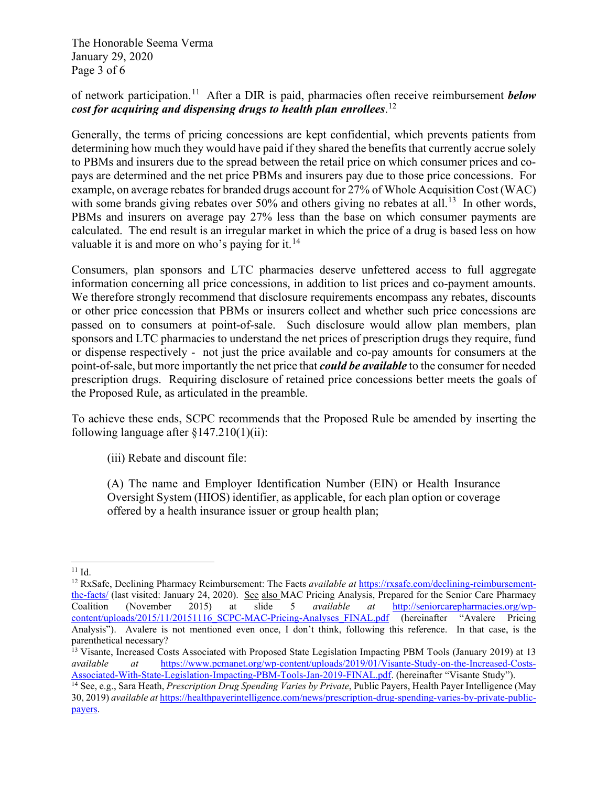The Honorable Seema Verma January 29, 2020 Page 3 of 6

# of network participation.[11](#page-14-0) After a DIR is paid, pharmacies often receive reimbursement *below cost for acquiring and dispensing drugs to health plan enrollees*. [12](#page-14-1)

Generally, the terms of pricing concessions are kept confidential, which prevents patients from determining how much they would have paid if they shared the benefits that currently accrue solely to PBMs and insurers due to the spread between the retail price on which consumer prices and copays are determined and the net price PBMs and insurers pay due to those price concessions. For example, on average rebates for branded drugs account for 27% of Whole Acquisition Cost (WAC) with some brands giving rebates over 50% and others giving no rebates at all.<sup>13</sup> In other words, PBMs and insurers on average pay 27% less than the base on which consumer payments are calculated. The end result is an irregular market in which the price of a drug is based less on how valuable it is and more on who's paying for it.<sup>[14](#page-14-3)</sup>

Consumers, plan sponsors and LTC pharmacies deserve unfettered access to full aggregate information concerning all price concessions, in addition to list prices and co-payment amounts. We therefore strongly recommend that disclosure requirements encompass any rebates, discounts or other price concession that PBMs or insurers collect and whether such price concessions are passed on to consumers at point-of-sale. Such disclosure would allow plan members, plan sponsors and LTC pharmacies to understand the net prices of prescription drugs they require, fund or dispense respectively - not just the price available and co-pay amounts for consumers at the point-of-sale, but more importantly the net price that *could be available* to the consumer for needed prescription drugs. Requiring disclosure of retained price concessions better meets the goals of the Proposed Rule, as articulated in the preamble.

To achieve these ends, SCPC recommends that the Proposed Rule be amended by inserting the following language after  $\frac{147.210(1)(ii)}{i}$ :

(iii) Rebate and discount file:

(A) The name and Employer Identification Number (EIN) or Health Insurance Oversight System (HIOS) identifier, as applicable, for each plan option or coverage offered by a health insurance issuer or group health plan;

<span id="page-14-0"></span> $11$  Id.

<span id="page-14-1"></span><sup>12</sup> RxSafe, Declining Pharmacy Reimbursement: The Facts *available at* [https://rxsafe.com/declining-reimbursement](https://rxsafe.com/declining-reimbursement-the-facts/)[the-facts/](https://rxsafe.com/declining-reimbursement-the-facts/) (last visited: January 24, 2020). See also MAC Pricing Analysis, Prepared for the Senior Care Pharmacy Coalition (November 2015) at slide 5 *available at* [http://seniorcarepharmacies.org/wp](http://seniorcarepharmacies.org/wp-content/uploads/2015/11/20151116_SCPC-MAC-Pricing-Analyses_FINAL.pdf)[content/uploads/2015/11/20151116\\_SCPC-MAC-Pricing-Analyses\\_FINAL.pdf](http://seniorcarepharmacies.org/wp-content/uploads/2015/11/20151116_SCPC-MAC-Pricing-Analyses_FINAL.pdf) (hereinafter "Avalere Pricing Analysis"). Avalere is not mentioned even once, I don't think, following this reference. In that case, is the parenthetical necessary?

<span id="page-14-2"></span><sup>&</sup>lt;sup>13</sup> Visante, Increased Costs Associated with Proposed State Legislation Impacting PBM Tools (January 2019) at 13 *available at* https://www.pcmanet.org/wp-content/uploads/2019/01/Visante-Study-on-the-Increased-Costs*available at* [https://www.pcmanet.org/wp-content/uploads/2019/01/Visante-Study-on-the-Increased-Costs-](https://www.pcmanet.org/wp-content/uploads/2019/01/Visante-Study-on-the-Increased-Costs-Associated-With-State-Legislation-Impacting-PBM-Tools-Jan-2019-FINAL.pdf)[Associated-With-State-Legislation-Impacting-PBM-Tools-Jan-2019-FINAL.pdf.](https://www.pcmanet.org/wp-content/uploads/2019/01/Visante-Study-on-the-Increased-Costs-Associated-With-State-Legislation-Impacting-PBM-Tools-Jan-2019-FINAL.pdf) (hereinafter "Visante Study").

<span id="page-14-3"></span><sup>14</sup> See, e.g., Sara Heath, *Prescription Drug Spending Varies by Private*, Public Payers, Health Payer Intelligence (May 30, 2019) *available at* [https://healthpayerintelligence.com/news/prescription-drug-spending-varies-by-private-public](https://healthpayerintelligence.com/news/prescription-drug-spending-varies-by-private-public-payers)[payers.](https://healthpayerintelligence.com/news/prescription-drug-spending-varies-by-private-public-payers)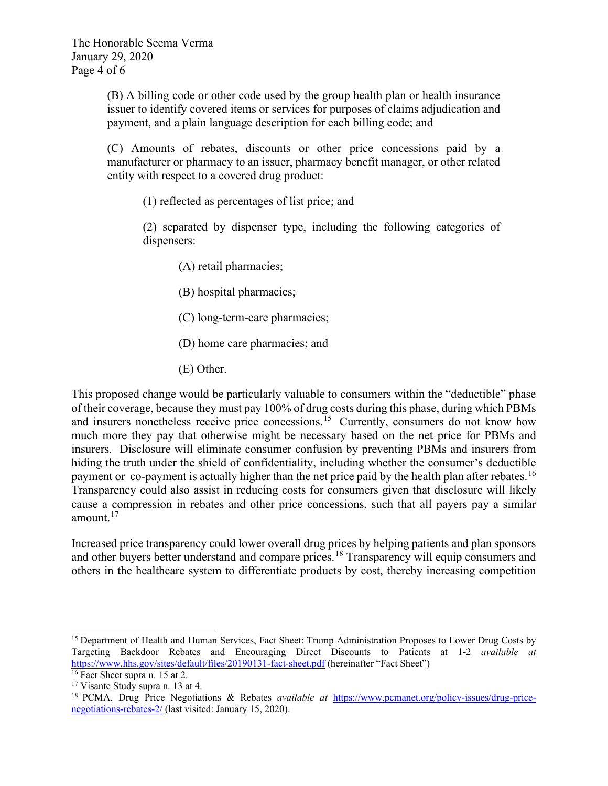(B) A billing code or other code used by the group health plan or health insurance issuer to identify covered items or services for purposes of claims adjudication and payment, and a plain language description for each billing code; and

(C) Amounts of rebates, discounts or other price concessions paid by a manufacturer or pharmacy to an issuer, pharmacy benefit manager, or other related entity with respect to a covered drug product:

(1) reflected as percentages of list price; and

(2) separated by dispenser type, including the following categories of dispensers:

- (A) retail pharmacies;
- (B) hospital pharmacies;
- (C) long-term-care pharmacies;
- (D) home care pharmacies; and
- (E) Other.

This proposed change would be particularly valuable to consumers within the "deductible" phase of their coverage, because they must pay 100% of drug costs during this phase, during which PBMs and insurers nonetheless receive price concessions.<sup>[15](#page-15-0)</sup> Currently, consumers do not know how much more they pay that otherwise might be necessary based on the net price for PBMs and insurers. Disclosure will eliminate consumer confusion by preventing PBMs and insurers from hiding the truth under the shield of confidentiality, including whether the consumer's deductible payment or co-payment is actually higher than the net price paid by the health plan after rebates.<sup>[16](#page-15-1)</sup> Transparency could also assist in reducing costs for consumers given that disclosure will likely cause a compression in rebates and other price concessions, such that all payers pay a similar amount.<sup>[17](#page-15-2)</sup>

Increased price transparency could lower overall drug prices by helping patients and plan sponsors and other buyers better understand and compare prices.<sup>[18](#page-15-3)</sup> Transparency will equip consumers and others in the healthcare system to differentiate products by cost, thereby increasing competition

<span id="page-15-0"></span><sup>&</sup>lt;sup>15</sup> Department of Health and Human Services, Fact Sheet: Trump Administration Proposes to Lower Drug Costs by Targeting Backdoor Rebates and Encouraging Direct Discounts to Patients at 1-2 *available at* <https://www.hhs.gov/sites/default/files/20190131-fact-sheet.pdf> (hereinafter "Fact Sheet")

<span id="page-15-1"></span><sup>16</sup> Fact Sheet supra n. 15 at 2.

<span id="page-15-2"></span><sup>17</sup> Visante Study supra n. 13 at 4.

<span id="page-15-3"></span><sup>18</sup> PCMA, Drug Price Negotiations & Rebates *available at* [https://www.pcmanet.org/policy-issues/drug-price](https://www.pcmanet.org/policy-issues/drug-price-negotiations-rebates-2/)[negotiations-rebates-2/](https://www.pcmanet.org/policy-issues/drug-price-negotiations-rebates-2/) (last visited: January 15, 2020).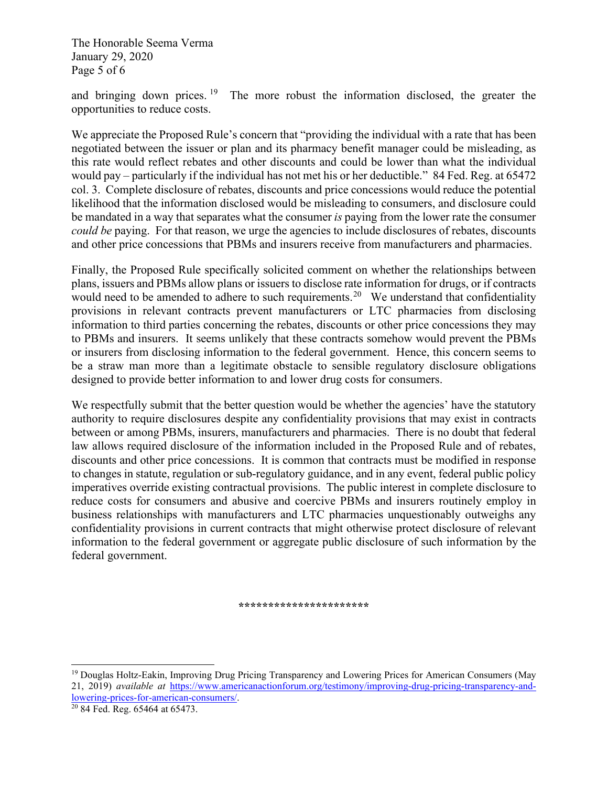The Honorable Seema Verma January 29, 2020 Page 5 of 6

and bringing down prices. <sup>[19](#page-16-0)</sup> The more robust the information disclosed, the greater the opportunities to reduce costs.

We appreciate the Proposed Rule's concern that "providing the individual with a rate that has been negotiated between the issuer or plan and its pharmacy benefit manager could be misleading, as this rate would reflect rebates and other discounts and could be lower than what the individual would pay – particularly if the individual has not met his or her deductible." 84 Fed. Reg. at 65472 col. 3. Complete disclosure of rebates, discounts and price concessions would reduce the potential likelihood that the information disclosed would be misleading to consumers, and disclosure could be mandated in a way that separates what the consumer *is* paying from the lower rate the consumer *could be* paying. For that reason, we urge the agencies to include disclosures of rebates, discounts and other price concessions that PBMs and insurers receive from manufacturers and pharmacies.

Finally, the Proposed Rule specifically solicited comment on whether the relationships between plans, issuers and PBMs allow plans or issuers to disclose rate information for drugs, or if contracts would need to be amended to adhere to such requirements.<sup>[20](#page-16-1)</sup> We understand that confidentiality provisions in relevant contracts prevent manufacturers or LTC pharmacies from disclosing information to third parties concerning the rebates, discounts or other price concessions they may to PBMs and insurers. It seems unlikely that these contracts somehow would prevent the PBMs or insurers from disclosing information to the federal government. Hence, this concern seems to be a straw man more than a legitimate obstacle to sensible regulatory disclosure obligations designed to provide better information to and lower drug costs for consumers.

We respectfully submit that the better question would be whether the agencies' have the statutory authority to require disclosures despite any confidentiality provisions that may exist in contracts between or among PBMs, insurers, manufacturers and pharmacies. There is no doubt that federal law allows required disclosure of the information included in the Proposed Rule and of rebates, discounts and other price concessions. It is common that contracts must be modified in response to changes in statute, regulation or sub-regulatory guidance, and in any event, federal public policy imperatives override existing contractual provisions. The public interest in complete disclosure to reduce costs for consumers and abusive and coercive PBMs and insurers routinely employ in business relationships with manufacturers and LTC pharmacies unquestionably outweighs any confidentiality provisions in current contracts that might otherwise protect disclosure of relevant information to the federal government or aggregate public disclosure of such information by the federal government.

#### **\*\*\*\*\*\*\*\*\*\*\*\*\*\*\*\*\*\*\*\*\*\***

<span id="page-16-0"></span><sup>19</sup> Douglas Holtz-Eakin, Improving Drug Pricing Transparency and Lowering Prices for American Consumers (May 21, 2019) *available at* [https://www.americanactionforum.org/testimony/improving-drug-pricing-transparency-and](https://www.americanactionforum.org/testimony/improving-drug-pricing-transparency-and-lowering-prices-for-american-consumers/)[lowering-prices-for-american-consumers/.](https://www.americanactionforum.org/testimony/improving-drug-pricing-transparency-and-lowering-prices-for-american-consumers/)

<span id="page-16-1"></span><sup>20</sup> 84 Fed. Reg. 65464 at 65473.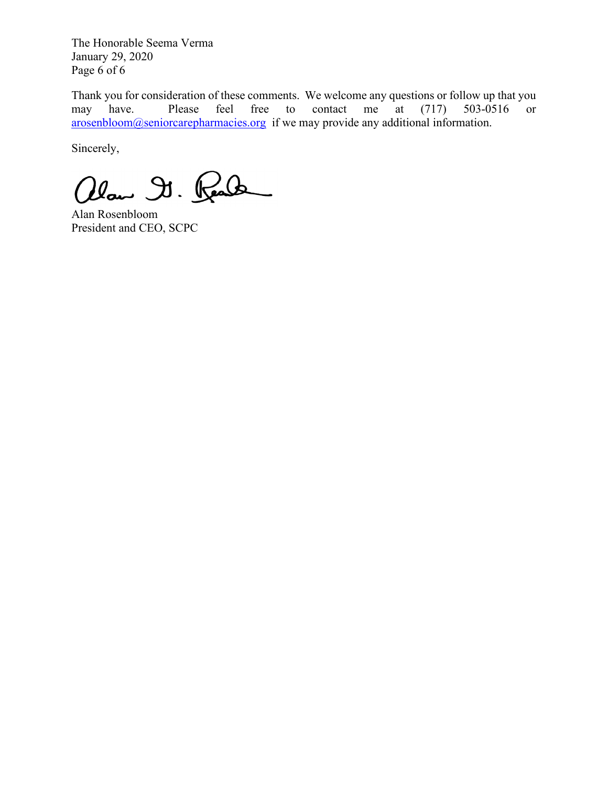The Honorable Seema Verma January 29, 2020 Page 6 of 6

Thank you for consideration of these comments. We welcome any questions or follow up that you may have. Please feel free to contact me at (717) 503-0516 or [arosenbloom@seniorcarepharmacies.org](mailto:arosenbloom@seniorcarepharmacies.org) if we may provide any additional information.

Sincerely,

alan Dr. Real

Alan Rosenbloom President and CEO, SCPC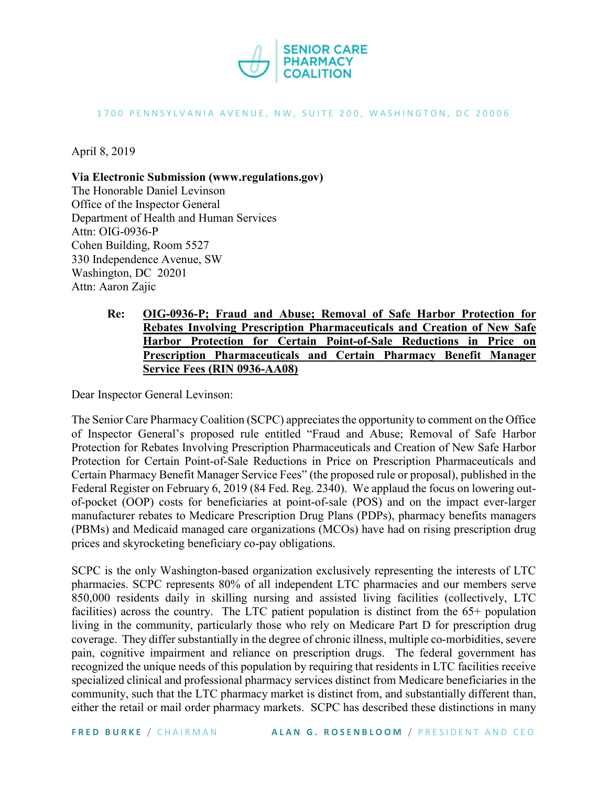

#### 1700 PENNSYLVANIA AVENUE, NW, SUITE 200, WASHINGTON, DC 20006

April 8, 2019

**Via Electronic Submission (www.regulations.gov)** The Honorable Daniel Levinson Office of the Inspector General Department of Health and Human Services Attn: OIG-0936-P Cohen Building, Room 5527 330 Independence Avenue, SW Washington, DC 20201 Attn: Aaron Zajic

> **Re: OIG-0936-P; Fraud and Abuse; Removal of Safe Harbor Protection for Rebates Involving Prescription Pharmaceuticals and Creation of New Safe Harbor Protection for Certain Point-of-Sale Reductions in Price on Prescription Pharmaceuticals and Certain Pharmacy Benefit Manager Service Fees (RIN 0936-AA08)**

Dear Inspector General Levinson:

The Senior Care Pharmacy Coalition (SCPC) appreciates the opportunity to comment on the Office of Inspector General's proposed rule entitled "Fraud and Abuse; Removal of Safe Harbor Protection for Rebates Involving Prescription Pharmaceuticals and Creation of New Safe Harbor Protection for Certain Point-of-Sale Reductions in Price on Prescription Pharmaceuticals and Certain Pharmacy Benefit Manager Service Fees" (the proposed rule or proposal), published in the Federal Register on February 6, 2019 (84 Fed. Reg. 2340). We applaud the focus on lowering outof-pocket (OOP) costs for beneficiaries at point-of-sale (POS) and on the impact ever-larger manufacturer rebates to Medicare Prescription Drug Plans (PDPs), pharmacy benefits managers (PBMs) and Medicaid managed care organizations (MCOs) have had on rising prescription drug prices and skyrocketing beneficiary co-pay obligations.

SCPC is the only Washington-based organization exclusively representing the interests of LTC pharmacies. SCPC represents 80% of all independent LTC pharmacies and our members serve 850,000 residents daily in skilling nursing and assisted living facilities (collectively, LTC facilities) across the country. The LTC patient population is distinct from the 65+ population living in the community, particularly those who rely on Medicare Part D for prescription drug coverage. They differ substantially in the degree of chronic illness, multiple co-morbidities, severe pain, cognitive impairment and reliance on prescription drugs. The federal government has recognized the unique needs of this population by requiring that residents in LTC facilities receive specialized clinical and professional pharmacy services distinct from Medicare beneficiaries in the community, such that the LTC pharmacy market is distinct from, and substantially different than, either the retail or mail order pharmacy markets. SCPC has described these distinctions in many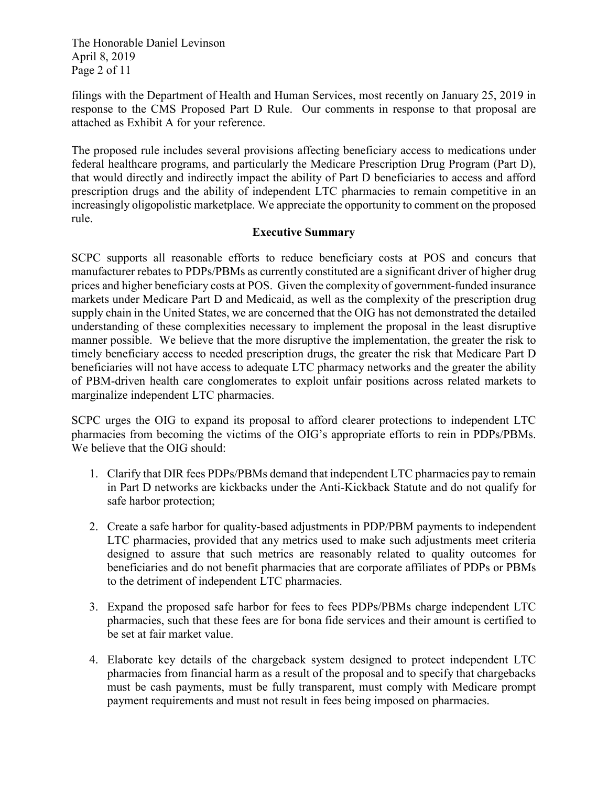The Honorable Daniel Levinson April 8, 2019 Page 2 of 11

filings with the Department of Health and Human Services, most recently on January 25, 2019 in response to the CMS Proposed Part D Rule. Our comments in response to that proposal are attached as Exhibit A for your reference.

The proposed rule includes several provisions affecting beneficiary access to medications under federal healthcare programs, and particularly the Medicare Prescription Drug Program (Part D), that would directly and indirectly impact the ability of Part D beneficiaries to access and afford prescription drugs and the ability of independent LTC pharmacies to remain competitive in an increasingly oligopolistic marketplace. We appreciate the opportunity to comment on the proposed rule.

### **Executive Summary**

SCPC supports all reasonable efforts to reduce beneficiary costs at POS and concurs that manufacturer rebates to PDPs/PBMs as currently constituted are a significant driver of higher drug prices and higher beneficiary costs at POS. Given the complexity of government-funded insurance markets under Medicare Part D and Medicaid, as well as the complexity of the prescription drug supply chain in the United States, we are concerned that the OIG has not demonstrated the detailed understanding of these complexities necessary to implement the proposal in the least disruptive manner possible. We believe that the more disruptive the implementation, the greater the risk to timely beneficiary access to needed prescription drugs, the greater the risk that Medicare Part D beneficiaries will not have access to adequate LTC pharmacy networks and the greater the ability of PBM-driven health care conglomerates to exploit unfair positions across related markets to marginalize independent LTC pharmacies.

SCPC urges the OIG to expand its proposal to afford clearer protections to independent LTC pharmacies from becoming the victims of the OIG's appropriate efforts to rein in PDPs/PBMs. We believe that the OIG should:

- 1. Clarify that DIR fees PDPs/PBMs demand that independent LTC pharmacies pay to remain in Part D networks are kickbacks under the Anti-Kickback Statute and do not qualify for safe harbor protection;
- 2. Create a safe harbor for quality-based adjustments in PDP/PBM payments to independent LTC pharmacies, provided that any metrics used to make such adjustments meet criteria designed to assure that such metrics are reasonably related to quality outcomes for beneficiaries and do not benefit pharmacies that are corporate affiliates of PDPs or PBMs to the detriment of independent LTC pharmacies.
- 3. Expand the proposed safe harbor for fees to fees PDPs/PBMs charge independent LTC pharmacies, such that these fees are for bona fide services and their amount is certified to be set at fair market value.
- 4. Elaborate key details of the chargeback system designed to protect independent LTC pharmacies from financial harm as a result of the proposal and to specify that chargebacks must be cash payments, must be fully transparent, must comply with Medicare prompt payment requirements and must not result in fees being imposed on pharmacies.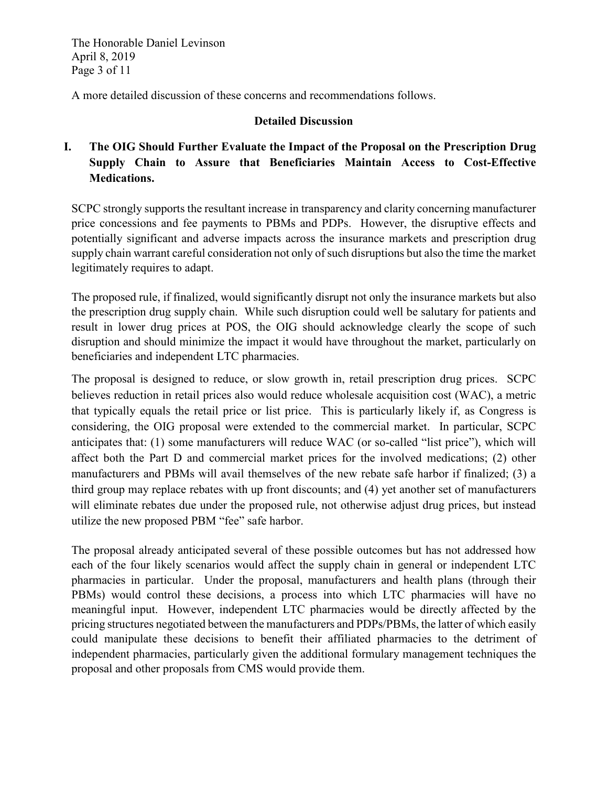The Honorable Daniel Levinson April 8, 2019 Page 3 of 11

A more detailed discussion of these concerns and recommendations follows.

### **Detailed Discussion**

# **I. The OIG Should Further Evaluate the Impact of the Proposal on the Prescription Drug Supply Chain to Assure that Beneficiaries Maintain Access to Cost-Effective Medications.**

SCPC strongly supports the resultant increase in transparency and clarity concerning manufacturer price concessions and fee payments to PBMs and PDPs. However, the disruptive effects and potentially significant and adverse impacts across the insurance markets and prescription drug supply chain warrant careful consideration not only of such disruptions but also the time the market legitimately requires to adapt.

The proposed rule, if finalized, would significantly disrupt not only the insurance markets but also the prescription drug supply chain. While such disruption could well be salutary for patients and result in lower drug prices at POS, the OIG should acknowledge clearly the scope of such disruption and should minimize the impact it would have throughout the market, particularly on beneficiaries and independent LTC pharmacies.

The proposal is designed to reduce, or slow growth in, retail prescription drug prices. SCPC believes reduction in retail prices also would reduce wholesale acquisition cost (WAC), a metric that typically equals the retail price or list price. This is particularly likely if, as Congress is considering, the OIG proposal were extended to the commercial market. In particular, SCPC anticipates that: (1) some manufacturers will reduce WAC (or so-called "list price"), which will affect both the Part D and commercial market prices for the involved medications; (2) other manufacturers and PBMs will avail themselves of the new rebate safe harbor if finalized; (3) a third group may replace rebates with up front discounts; and (4) yet another set of manufacturers will eliminate rebates due under the proposed rule, not otherwise adjust drug prices, but instead utilize the new proposed PBM "fee" safe harbor.

The proposal already anticipated several of these possible outcomes but has not addressed how each of the four likely scenarios would affect the supply chain in general or independent LTC pharmacies in particular. Under the proposal, manufacturers and health plans (through their PBMs) would control these decisions, a process into which LTC pharmacies will have no meaningful input. However, independent LTC pharmacies would be directly affected by the pricing structures negotiated between the manufacturers and PDPs/PBMs, the latter of which easily could manipulate these decisions to benefit their affiliated pharmacies to the detriment of independent pharmacies, particularly given the additional formulary management techniques the proposal and other proposals from CMS would provide them.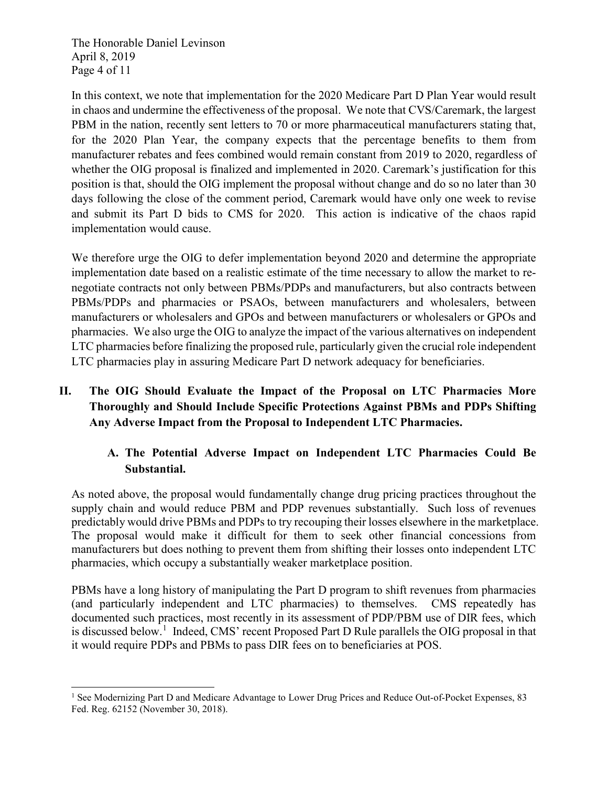The Honorable Daniel Levinson April 8, 2019 Page 4 of 11

-

In this context, we note that implementation for the 2020 Medicare Part D Plan Year would result in chaos and undermine the effectiveness of the proposal. We note that CVS/Caremark, the largest PBM in the nation, recently sent letters to 70 or more pharmaceutical manufacturers stating that, for the 2020 Plan Year, the company expects that the percentage benefits to them from manufacturer rebates and fees combined would remain constant from 2019 to 2020, regardless of whether the OIG proposal is finalized and implemented in 2020. Caremark's justification for this position is that, should the OIG implement the proposal without change and do so no later than 30 days following the close of the comment period, Caremark would have only one week to revise and submit its Part D bids to CMS for 2020. This action is indicative of the chaos rapid implementation would cause.

We therefore urge the OIG to defer implementation beyond 2020 and determine the appropriate implementation date based on a realistic estimate of the time necessary to allow the market to renegotiate contracts not only between PBMs/PDPs and manufacturers, but also contracts between PBMs/PDPs and pharmacies or PSAOs, between manufacturers and wholesalers, between manufacturers or wholesalers and GPOs and between manufacturers or wholesalers or GPOs and pharmacies. We also urge the OIG to analyze the impact of the various alternatives on independent LTC pharmacies before finalizing the proposed rule, particularly given the crucial role independent LTC pharmacies play in assuring Medicare Part D network adequacy for beneficiaries.

# **II. The OIG Should Evaluate the Impact of the Proposal on LTC Pharmacies More Thoroughly and Should Include Specific Protections Against PBMs and PDPs Shifting Any Adverse Impact from the Proposal to Independent LTC Pharmacies.**

# **A. The Potential Adverse Impact on Independent LTC Pharmacies Could Be Substantial.**

As noted above, the proposal would fundamentally change drug pricing practices throughout the supply chain and would reduce PBM and PDP revenues substantially. Such loss of revenues predictably would drive PBMs and PDPs to try recouping their losses elsewhere in the marketplace. The proposal would make it difficult for them to seek other financial concessions from manufacturers but does nothing to prevent them from shifting their losses onto independent LTC pharmacies, which occupy a substantially weaker marketplace position.

PBMs have a long history of manipulating the Part D program to shift revenues from pharmacies (and particularly independent and LTC pharmacies) to themselves. CMS repeatedly has documented such practices, most recently in its assessment of PDP/PBM use of DIR fees, which is discussed below.<sup>[1](#page-21-0)</sup> Indeed, CMS' recent Proposed Part D Rule parallels the OIG proposal in that it would require PDPs and PBMs to pass DIR fees on to beneficiaries at POS.

<span id="page-21-0"></span><sup>&</sup>lt;sup>1</sup> See Modernizing Part D and Medicare Advantage to Lower Drug Prices and Reduce Out-of-Pocket Expenses, 83 Fed. Reg. 62152 (November 30, 2018).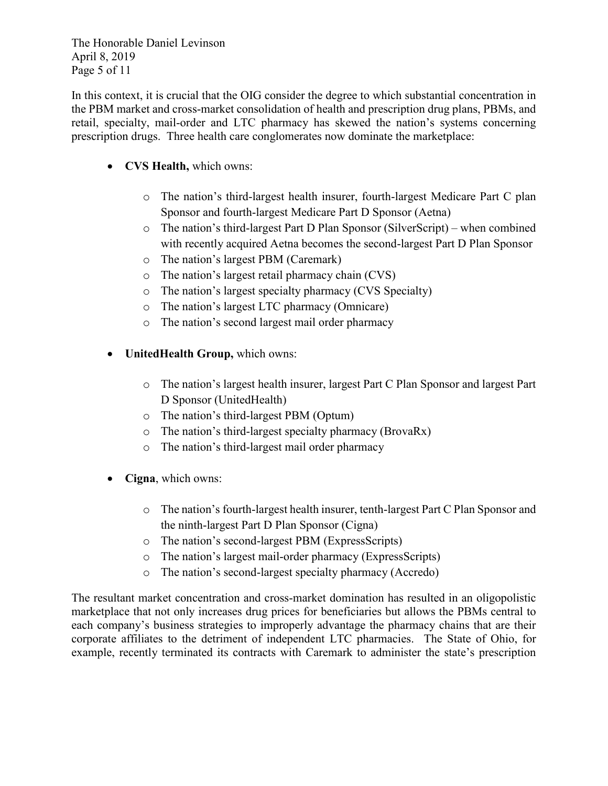The Honorable Daniel Levinson April 8, 2019 Page 5 of 11

In this context, it is crucial that the OIG consider the degree to which substantial concentration in the PBM market and cross-market consolidation of health and prescription drug plans, PBMs, and retail, specialty, mail-order and LTC pharmacy has skewed the nation's systems concerning prescription drugs. Three health care conglomerates now dominate the marketplace:

- **CVS Health,** which owns:
	- o The nation's third-largest health insurer, fourth-largest Medicare Part C plan Sponsor and fourth-largest Medicare Part D Sponsor (Aetna)
	- o The nation's third-largest Part D Plan Sponsor (SilverScript) when combined with recently acquired Aetna becomes the second-largest Part D Plan Sponsor
	- o The nation's largest PBM (Caremark)
	- o The nation's largest retail pharmacy chain (CVS)
	- o The nation's largest specialty pharmacy (CVS Specialty)
	- o The nation's largest LTC pharmacy (Omnicare)
	- o The nation's second largest mail order pharmacy
- **UnitedHealth Group,** which owns:
	- o The nation's largest health insurer, largest Part C Plan Sponsor and largest Part D Sponsor (UnitedHealth)
	- o The nation's third-largest PBM (Optum)
	- o The nation's third-largest specialty pharmacy (BrovaRx)
	- o The nation's third-largest mail order pharmacy
- **Cigna**, which owns:
	- o The nation's fourth-largest health insurer, tenth-largest Part C Plan Sponsor and the ninth-largest Part D Plan Sponsor (Cigna)
	- o The nation's second-largest PBM (ExpressScripts)
	- o The nation's largest mail-order pharmacy (ExpressScripts)
	- o The nation's second-largest specialty pharmacy (Accredo)

The resultant market concentration and cross-market domination has resulted in an oligopolistic marketplace that not only increases drug prices for beneficiaries but allows the PBMs central to each company's business strategies to improperly advantage the pharmacy chains that are their corporate affiliates to the detriment of independent LTC pharmacies. The State of Ohio, for example, recently terminated its contracts with Caremark to administer the state's prescription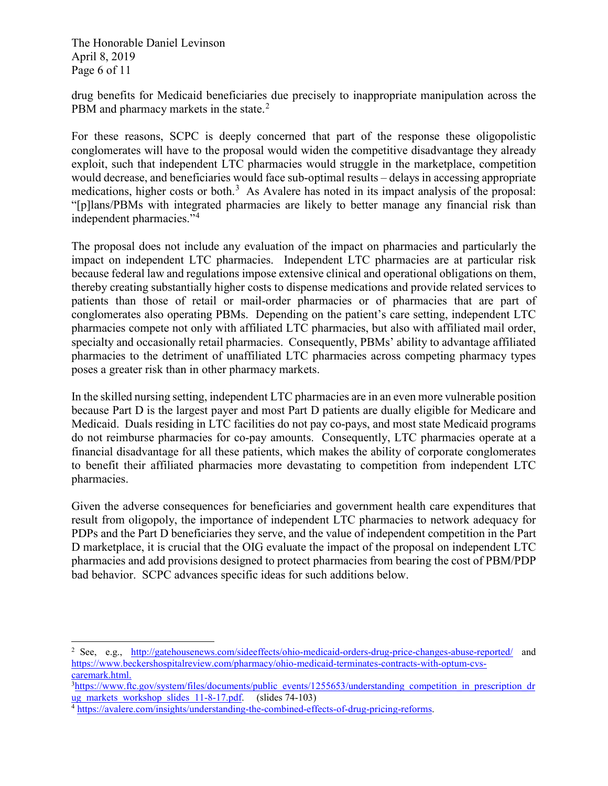The Honorable Daniel Levinson April 8, 2019 Page 6 of 11

j

drug benefits for Medicaid beneficiaries due precisely to inappropriate manipulation across the PBM and pharmacy markets in the state.<sup>[2](#page-23-0)</sup>

For these reasons, SCPC is deeply concerned that part of the response these oligopolistic conglomerates will have to the proposal would widen the competitive disadvantage they already exploit, such that independent LTC pharmacies would struggle in the marketplace, competition would decrease, and beneficiaries would face sub-optimal results – delays in accessing appropriate medications, higher costs or both.<sup>[3](#page-23-1)</sup> As Avalere has noted in its impact analysis of the proposal: "[p]lans/PBMs with integrated pharmacies are likely to better manage any financial risk than independent pharmacies."[4](#page-23-2)

The proposal does not include any evaluation of the impact on pharmacies and particularly the impact on independent LTC pharmacies. Independent LTC pharmacies are at particular risk because federal law and regulations impose extensive clinical and operational obligations on them, thereby creating substantially higher costs to dispense medications and provide related services to patients than those of retail or mail-order pharmacies or of pharmacies that are part of conglomerates also operating PBMs. Depending on the patient's care setting, independent LTC pharmacies compete not only with affiliated LTC pharmacies, but also with affiliated mail order, specialty and occasionally retail pharmacies. Consequently, PBMs' ability to advantage affiliated pharmacies to the detriment of unaffiliated LTC pharmacies across competing pharmacy types poses a greater risk than in other pharmacy markets.

In the skilled nursing setting, independent LTC pharmacies are in an even more vulnerable position because Part D is the largest payer and most Part D patients are dually eligible for Medicare and Medicaid. Duals residing in LTC facilities do not pay co-pays, and most state Medicaid programs do not reimburse pharmacies for co-pay amounts. Consequently, LTC pharmacies operate at a financial disadvantage for all these patients, which makes the ability of corporate conglomerates to benefit their affiliated pharmacies more devastating to competition from independent LTC pharmacies.

Given the adverse consequences for beneficiaries and government health care expenditures that result from oligopoly, the importance of independent LTC pharmacies to network adequacy for PDPs and the Part D beneficiaries they serve, and the value of independent competition in the Part D marketplace, it is crucial that the OIG evaluate the impact of the proposal on independent LTC pharmacies and add provisions designed to protect pharmacies from bearing the cost of PBM/PDP bad behavior. SCPC advances specific ideas for such additions below.

<span id="page-23-0"></span><sup>2</sup> See, e.g., <http://gatehousenews.com/sideeffects/ohio-medicaid-orders-drug-price-changes-abuse-reported/> and [https://www.beckershospitalreview.com/pharmacy/ohio-medicaid-terminates-contracts-with-optum-cvs](https://www.beckershospitalreview.com/pharmacy/ohio-medicaid-terminates-contracts-with-optum-cvs-caremark.html.)[caremark.html.](https://www.beckershospitalreview.com/pharmacy/ohio-medicaid-terminates-contracts-with-optum-cvs-caremark.html.)

<span id="page-23-1"></span><sup>&</sup>lt;sup>3</sup>[https://www.ftc.gov/system/files/documents/public\\_events/1255653/understanding\\_competition\\_in\\_prescription\\_dr](https://www.ftc.gov/system/files/documents/public_events/1255653/understanding_competition_in_prescription_drug_markets_workshop_slides_11-8-17.pdf) [ug\\_markets\\_workshop\\_slides\\_11-8-17.pdf.](https://www.ftc.gov/system/files/documents/public_events/1255653/understanding_competition_in_prescription_drug_markets_workshop_slides_11-8-17.pdf) (slides 74-103)

<span id="page-23-2"></span><sup>&</sup>lt;sup>4</sup> [https://avalere.com/insights/understanding-the-combined-effects-of-drug-pricing-reforms.](https://avalere.com/insights/understanding-the-combined-effects-of-drug-pricing-reforms)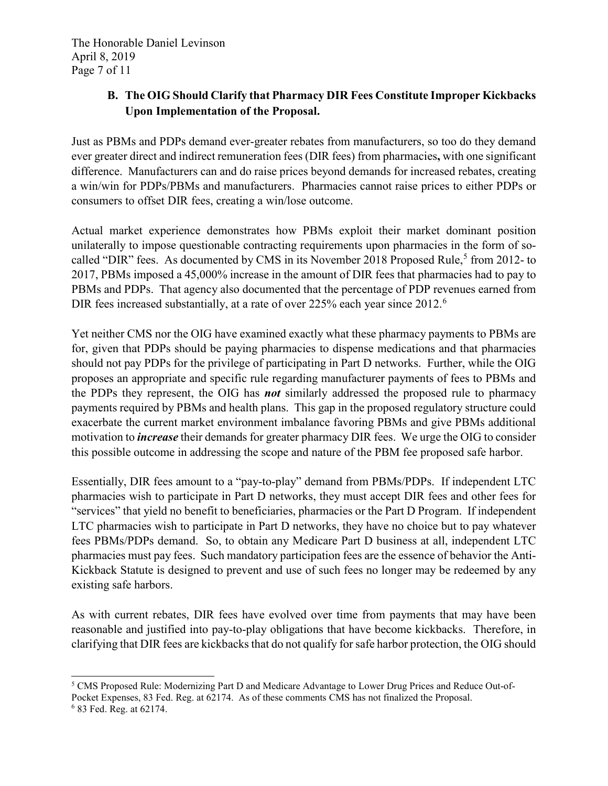The Honorable Daniel Levinson April 8, 2019 Page 7 of 11

# **B. The OIG Should Clarify that Pharmacy DIR Fees Constitute Improper Kickbacks Upon Implementation of the Proposal.**

Just as PBMs and PDPs demand ever-greater rebates from manufacturers, so too do they demand ever greater direct and indirect remuneration fees (DIR fees) from pharmacies**,** with one significant difference. Manufacturers can and do raise prices beyond demands for increased rebates, creating a win/win for PDPs/PBMs and manufacturers. Pharmacies cannot raise prices to either PDPs or consumers to offset DIR fees, creating a win/lose outcome.

Actual market experience demonstrates how PBMs exploit their market dominant position unilaterally to impose questionable contracting requirements upon pharmacies in the form of so-called "DIR" fees. As documented by CMS in its November 2018 Proposed Rule,<sup>[5](#page-24-0)</sup> from 2012- to 2017, PBMs imposed a 45,000% increase in the amount of DIR fees that pharmacies had to pay to PBMs and PDPs. That agency also documented that the percentage of PDP revenues earned from DIR fees increased substantially, at a rate of over 225% each year since 2012.<sup>[6](#page-24-1)</sup>

Yet neither CMS nor the OIG have examined exactly what these pharmacy payments to PBMs are for, given that PDPs should be paying pharmacies to dispense medications and that pharmacies should not pay PDPs for the privilege of participating in Part D networks. Further, while the OIG proposes an appropriate and specific rule regarding manufacturer payments of fees to PBMs and the PDPs they represent, the OIG has *not* similarly addressed the proposed rule to pharmacy payments required by PBMs and health plans. This gap in the proposed regulatory structure could exacerbate the current market environment imbalance favoring PBMs and give PBMs additional motivation to *increase* their demands for greater pharmacy DIR fees. We urge the OIG to consider this possible outcome in addressing the scope and nature of the PBM fee proposed safe harbor.

Essentially, DIR fees amount to a "pay-to-play" demand from PBMs/PDPs. If independent LTC pharmacies wish to participate in Part D networks, they must accept DIR fees and other fees for "services" that yield no benefit to beneficiaries, pharmacies or the Part D Program. If independent LTC pharmacies wish to participate in Part D networks, they have no choice but to pay whatever fees PBMs/PDPs demand. So, to obtain any Medicare Part D business at all, independent LTC pharmacies must pay fees. Such mandatory participation fees are the essence of behavior the Anti-Kickback Statute is designed to prevent and use of such fees no longer may be redeemed by any existing safe harbors.

As with current rebates, DIR fees have evolved over time from payments that may have been reasonable and justified into pay-to-play obligations that have become kickbacks. Therefore, in clarifying that DIR fees are kickbacks that do not qualify for safe harbor protection, the OIG should

<span id="page-24-0"></span>j <sup>5</sup> CMS Proposed Rule: Modernizing Part D and Medicare Advantage to Lower Drug Prices and Reduce Out-of-Pocket Expenses, 83 Fed. Reg. at 62174. As of these comments CMS has not finalized the Proposal.

<span id="page-24-1"></span><sup>6</sup> 83 Fed. Reg. at 62174.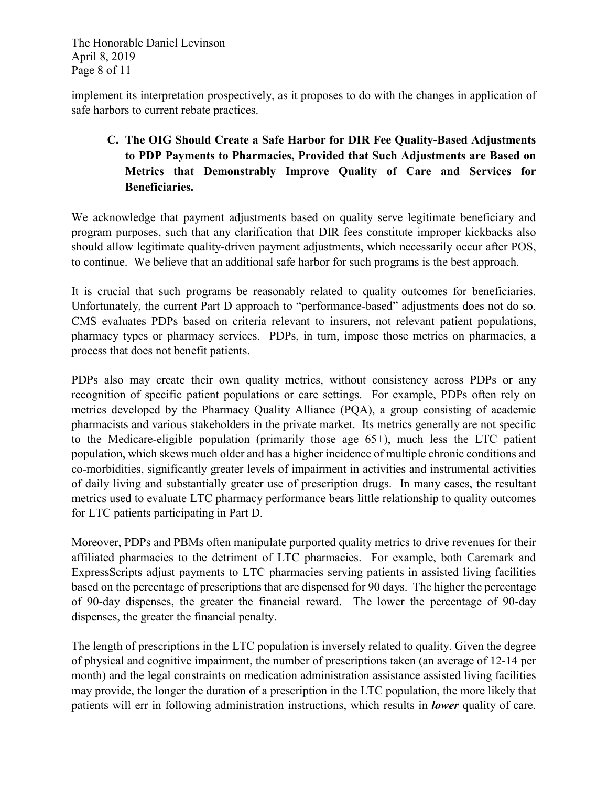The Honorable Daniel Levinson April 8, 2019 Page 8 of 11

implement its interpretation prospectively, as it proposes to do with the changes in application of safe harbors to current rebate practices.

# **C. The OIG Should Create a Safe Harbor for DIR Fee Quality-Based Adjustments to PDP Payments to Pharmacies, Provided that Such Adjustments are Based on Metrics that Demonstrably Improve Quality of Care and Services for Beneficiaries.**

We acknowledge that payment adjustments based on quality serve legitimate beneficiary and program purposes, such that any clarification that DIR fees constitute improper kickbacks also should allow legitimate quality-driven payment adjustments, which necessarily occur after POS, to continue. We believe that an additional safe harbor for such programs is the best approach.

It is crucial that such programs be reasonably related to quality outcomes for beneficiaries. Unfortunately, the current Part D approach to "performance-based" adjustments does not do so. CMS evaluates PDPs based on criteria relevant to insurers, not relevant patient populations, pharmacy types or pharmacy services. PDPs, in turn, impose those metrics on pharmacies, a process that does not benefit patients.

PDPs also may create their own quality metrics, without consistency across PDPs or any recognition of specific patient populations or care settings. For example, PDPs often rely on metrics developed by the Pharmacy Quality Alliance (PQA), a group consisting of academic pharmacists and various stakeholders in the private market. Its metrics generally are not specific to the Medicare-eligible population (primarily those age 65+), much less the LTC patient population, which skews much older and has a higher incidence of multiple chronic conditions and co-morbidities, significantly greater levels of impairment in activities and instrumental activities of daily living and substantially greater use of prescription drugs. In many cases, the resultant metrics used to evaluate LTC pharmacy performance bears little relationship to quality outcomes for LTC patients participating in Part D.

Moreover, PDPs and PBMs often manipulate purported quality metrics to drive revenues for their affiliated pharmacies to the detriment of LTC pharmacies. For example, both Caremark and ExpressScripts adjust payments to LTC pharmacies serving patients in assisted living facilities based on the percentage of prescriptions that are dispensed for 90 days. The higher the percentage of 90-day dispenses, the greater the financial reward. The lower the percentage of 90-day dispenses, the greater the financial penalty.

The length of prescriptions in the LTC population is inversely related to quality. Given the degree of physical and cognitive impairment, the number of prescriptions taken (an average of 12-14 per month) and the legal constraints on medication administration assistance assisted living facilities may provide, the longer the duration of a prescription in the LTC population, the more likely that patients will err in following administration instructions, which results in *lower* quality of care.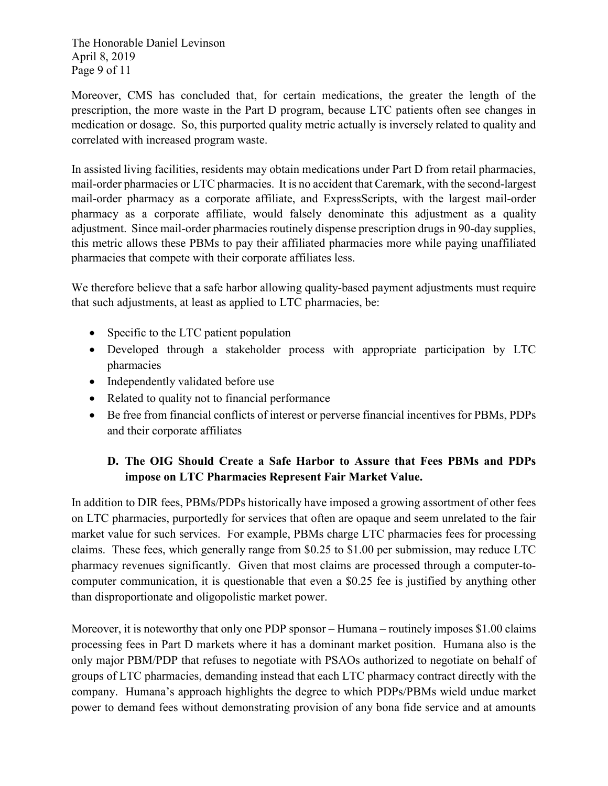The Honorable Daniel Levinson April 8, 2019 Page 9 of 11

Moreover, CMS has concluded that, for certain medications, the greater the length of the prescription, the more waste in the Part D program, because LTC patients often see changes in medication or dosage. So, this purported quality metric actually is inversely related to quality and correlated with increased program waste.

In assisted living facilities, residents may obtain medications under Part D from retail pharmacies, mail-order pharmacies or LTC pharmacies. It is no accident that Caremark, with the second-largest mail-order pharmacy as a corporate affiliate, and ExpressScripts, with the largest mail-order pharmacy as a corporate affiliate, would falsely denominate this adjustment as a quality adjustment. Since mail-order pharmacies routinely dispense prescription drugs in 90-day supplies, this metric allows these PBMs to pay their affiliated pharmacies more while paying unaffiliated pharmacies that compete with their corporate affiliates less.

We therefore believe that a safe harbor allowing quality-based payment adjustments must require that such adjustments, at least as applied to LTC pharmacies, be:

- Specific to the LTC patient population
- Developed through a stakeholder process with appropriate participation by LTC pharmacies
- Independently validated before use
- Related to quality not to financial performance
- Be free from financial conflicts of interest or perverse financial incentives for PBMs, PDPs and their corporate affiliates

# **D. The OIG Should Create a Safe Harbor to Assure that Fees PBMs and PDPs impose on LTC Pharmacies Represent Fair Market Value.**

In addition to DIR fees, PBMs/PDPs historically have imposed a growing assortment of other fees on LTC pharmacies, purportedly for services that often are opaque and seem unrelated to the fair market value for such services. For example, PBMs charge LTC pharmacies fees for processing claims. These fees, which generally range from \$0.25 to \$1.00 per submission, may reduce LTC pharmacy revenues significantly. Given that most claims are processed through a computer-tocomputer communication, it is questionable that even a \$0.25 fee is justified by anything other than disproportionate and oligopolistic market power.

Moreover, it is noteworthy that only one PDP sponsor – Humana – routinely imposes \$1.00 claims processing fees in Part D markets where it has a dominant market position. Humana also is the only major PBM/PDP that refuses to negotiate with PSAOs authorized to negotiate on behalf of groups of LTC pharmacies, demanding instead that each LTC pharmacy contract directly with the company. Humana's approach highlights the degree to which PDPs/PBMs wield undue market power to demand fees without demonstrating provision of any bona fide service and at amounts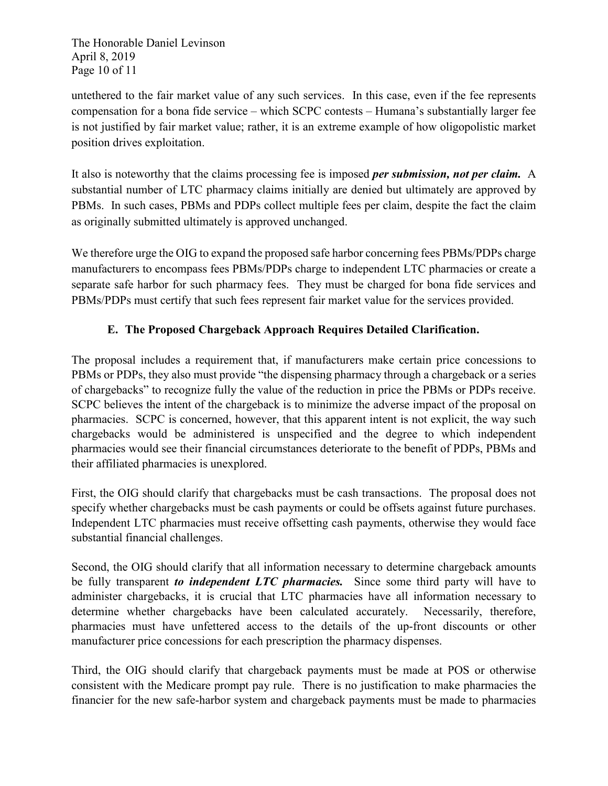The Honorable Daniel Levinson April 8, 2019 Page 10 of 11

untethered to the fair market value of any such services. In this case, even if the fee represents compensation for a bona fide service – which SCPC contests – Humana's substantially larger fee is not justified by fair market value; rather, it is an extreme example of how oligopolistic market position drives exploitation.

It also is noteworthy that the claims processing fee is imposed *per submission, not per claim.* A substantial number of LTC pharmacy claims initially are denied but ultimately are approved by PBMs. In such cases, PBMs and PDPs collect multiple fees per claim, despite the fact the claim as originally submitted ultimately is approved unchanged.

We therefore urge the OIG to expand the proposed safe harbor concerning fees PBMs/PDPs charge manufacturers to encompass fees PBMs/PDPs charge to independent LTC pharmacies or create a separate safe harbor for such pharmacy fees. They must be charged for bona fide services and PBMs/PDPs must certify that such fees represent fair market value for the services provided.

# **E. The Proposed Chargeback Approach Requires Detailed Clarification.**

The proposal includes a requirement that, if manufacturers make certain price concessions to PBMs or PDPs, they also must provide "the dispensing pharmacy through a chargeback or a series of chargebacks" to recognize fully the value of the reduction in price the PBMs or PDPs receive. SCPC believes the intent of the chargeback is to minimize the adverse impact of the proposal on pharmacies. SCPC is concerned, however, that this apparent intent is not explicit, the way such chargebacks would be administered is unspecified and the degree to which independent pharmacies would see their financial circumstances deteriorate to the benefit of PDPs, PBMs and their affiliated pharmacies is unexplored.

First, the OIG should clarify that chargebacks must be cash transactions. The proposal does not specify whether chargebacks must be cash payments or could be offsets against future purchases. Independent LTC pharmacies must receive offsetting cash payments, otherwise they would face substantial financial challenges.

Second, the OIG should clarify that all information necessary to determine chargeback amounts be fully transparent *to independent LTC pharmacies.* Since some third party will have to administer chargebacks, it is crucial that LTC pharmacies have all information necessary to determine whether chargebacks have been calculated accurately. Necessarily, therefore, pharmacies must have unfettered access to the details of the up-front discounts or other manufacturer price concessions for each prescription the pharmacy dispenses.

Third, the OIG should clarify that chargeback payments must be made at POS or otherwise consistent with the Medicare prompt pay rule. There is no justification to make pharmacies the financier for the new safe-harbor system and chargeback payments must be made to pharmacies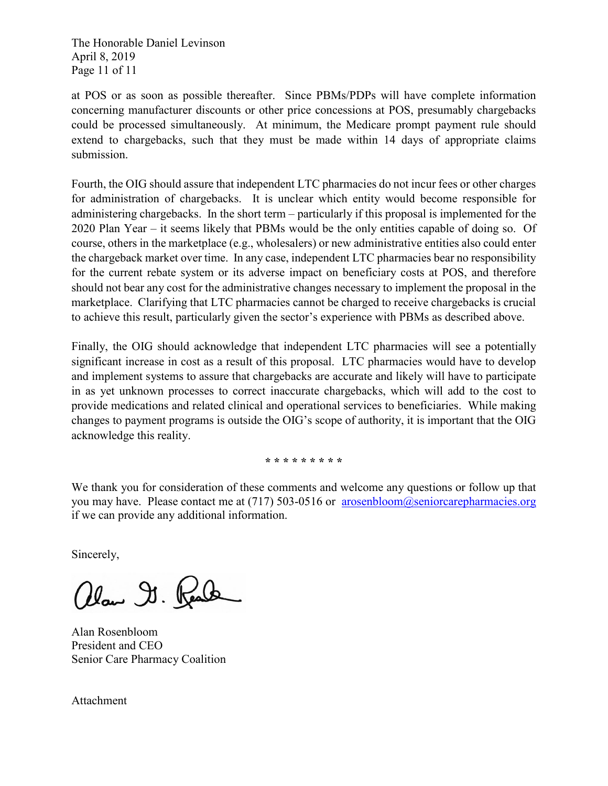The Honorable Daniel Levinson April 8, 2019 Page 11 of 11

at POS or as soon as possible thereafter. Since PBMs/PDPs will have complete information concerning manufacturer discounts or other price concessions at POS, presumably chargebacks could be processed simultaneously. At minimum, the Medicare prompt payment rule should extend to chargebacks, such that they must be made within 14 days of appropriate claims submission.

Fourth, the OIG should assure that independent LTC pharmacies do not incur fees or other charges for administration of chargebacks. It is unclear which entity would become responsible for administering chargebacks. In the short term – particularly if this proposal is implemented for the 2020 Plan Year – it seems likely that PBMs would be the only entities capable of doing so. Of course, others in the marketplace (e.g., wholesalers) or new administrative entities also could enter the chargeback market over time. In any case, independent LTC pharmacies bear no responsibility for the current rebate system or its adverse impact on beneficiary costs at POS, and therefore should not bear any cost for the administrative changes necessary to implement the proposal in the marketplace. Clarifying that LTC pharmacies cannot be charged to receive chargebacks is crucial to achieve this result, particularly given the sector's experience with PBMs as described above.

Finally, the OIG should acknowledge that independent LTC pharmacies will see a potentially significant increase in cost as a result of this proposal. LTC pharmacies would have to develop and implement systems to assure that chargebacks are accurate and likely will have to participate in as yet unknown processes to correct inaccurate chargebacks, which will add to the cost to provide medications and related clinical and operational services to beneficiaries. While making changes to payment programs is outside the OIG's scope of authority, it is important that the OIG acknowledge this reality.

**\* \* \* \* \* \* \* \* \***

We thank you for consideration of these comments and welcome any questions or follow up that you may have. Please contact me at  $(717)$  503-0516 or [arosenbloom@seniorcarepharmacies.org](mailto:arosenbloom@seniorcarepharmacies.org) if we can provide any additional information.

Sincerely,

allow I. Read

Alan Rosenbloom President and CEO Senior Care Pharmacy Coalition

Attachment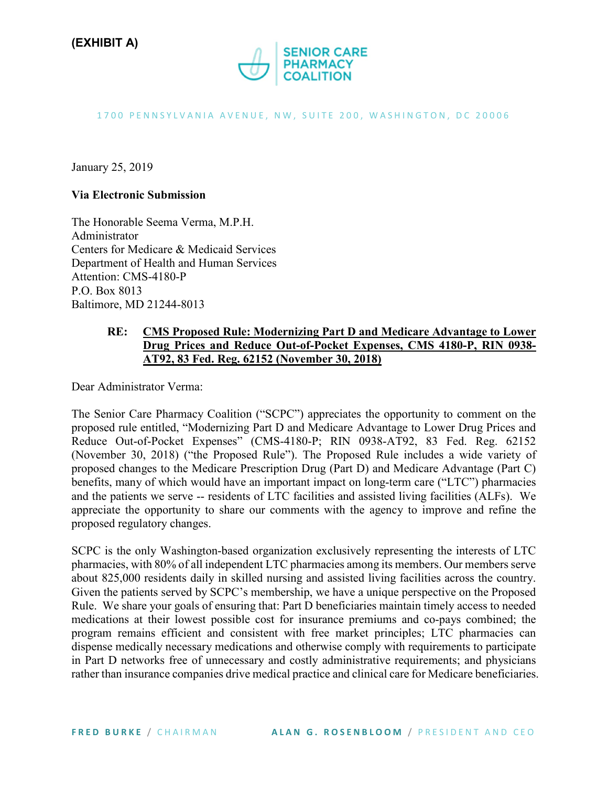

### 1700 PENNSYLVANIA AVENUE, NW, SUITE 200, WASHINGTON, DC 20006

January 25, 2019

### **Via Electronic Submission**

The Honorable Seema Verma, M.P.H. Administrator Centers for Medicare & Medicaid Services Department of Health and Human Services Attention: CMS-4180-P P.O. Box 8013 Baltimore, MD 21244-8013

### **RE: CMS Proposed Rule: Modernizing Part D and Medicare Advantage to Lower Drug Prices and Reduce Out-of-Pocket Expenses, CMS 4180-P, RIN 0938- AT92, 83 Fed. Reg. 62152 (November 30, 2018)**

Dear Administrator Verma:

The Senior Care Pharmacy Coalition ("SCPC") appreciates the opportunity to comment on the proposed rule entitled, "Modernizing Part D and Medicare Advantage to Lower Drug Prices and Reduce Out-of-Pocket Expenses" (CMS-4180-P; RIN 0938-AT92, 83 Fed. Reg. 62152 (November 30, 2018) ("the Proposed Rule"). The Proposed Rule includes a wide variety of proposed changes to the Medicare Prescription Drug (Part D) and Medicare Advantage (Part C) benefits, many of which would have an important impact on long-term care ("LTC") pharmacies and the patients we serve -- residents of LTC facilities and assisted living facilities (ALFs). We appreciate the opportunity to share our comments with the agency to improve and refine the proposed regulatory changes.

SCPC is the only Washington-based organization exclusively representing the interests of LTC pharmacies, with 80% of all independent LTC pharmacies among its members. Our members serve about 825,000 residents daily in skilled nursing and assisted living facilities across the country. Given the patients served by SCPC's membership, we have a unique perspective on the Proposed Rule. We share your goals of ensuring that: Part D beneficiaries maintain timely access to needed medications at their lowest possible cost for insurance premiums and co-pays combined; the program remains efficient and consistent with free market principles; LTC pharmacies can dispense medically necessary medications and otherwise comply with requirements to participate in Part D networks free of unnecessary and costly administrative requirements; and physicians rather than insurance companies drive medical practice and clinical care for Medicare beneficiaries.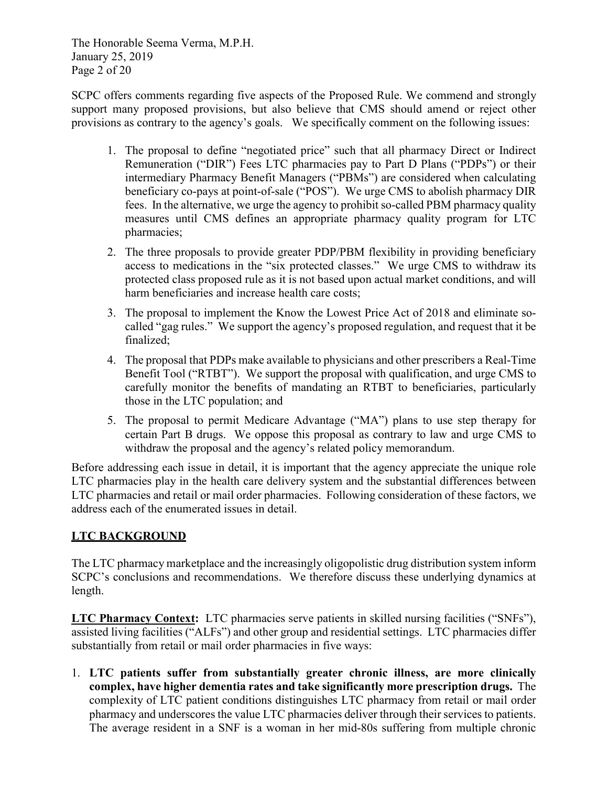The Honorable Seema Verma, M.P.H. January 25, 2019 Page 2 of 20

SCPC offers comments regarding five aspects of the Proposed Rule. We commend and strongly support many proposed provisions, but also believe that CMS should amend or reject other provisions as contrary to the agency's goals. We specifically comment on the following issues:

- 1. The proposal to define "negotiated price" such that all pharmacy Direct or Indirect Remuneration ("DIR") Fees LTC pharmacies pay to Part D Plans ("PDPs") or their intermediary Pharmacy Benefit Managers ("PBMs") are considered when calculating beneficiary co-pays at point-of-sale ("POS"). We urge CMS to abolish pharmacy DIR fees. In the alternative, we urge the agency to prohibit so-called PBM pharmacy quality measures until CMS defines an appropriate pharmacy quality program for LTC pharmacies;
- 2. The three proposals to provide greater PDP/PBM flexibility in providing beneficiary access to medications in the "six protected classes." We urge CMS to withdraw its protected class proposed rule as it is not based upon actual market conditions, and will harm beneficiaries and increase health care costs;
- 3. The proposal to implement the Know the Lowest Price Act of 2018 and eliminate socalled "gag rules." We support the agency's proposed regulation, and request that it be finalized;
- 4. The proposal that PDPs make available to physicians and other prescribers a Real-Time Benefit Tool ("RTBT"). We support the proposal with qualification, and urge CMS to carefully monitor the benefits of mandating an RTBT to beneficiaries, particularly those in the LTC population; and
- 5. The proposal to permit Medicare Advantage ("MA") plans to use step therapy for certain Part B drugs. We oppose this proposal as contrary to law and urge CMS to withdraw the proposal and the agency's related policy memorandum.

Before addressing each issue in detail, it is important that the agency appreciate the unique role LTC pharmacies play in the health care delivery system and the substantial differences between LTC pharmacies and retail or mail order pharmacies. Following consideration of these factors, we address each of the enumerated issues in detail.

# **LTC BACKGROUND**

The LTC pharmacy marketplace and the increasingly oligopolistic drug distribution system inform SCPC's conclusions and recommendations. We therefore discuss these underlying dynamics at length.

**LTC Pharmacy Context:** LTC pharmacies serve patients in skilled nursing facilities ("SNFs"), assisted living facilities ("ALFs") and other group and residential settings. LTC pharmacies differ substantially from retail or mail order pharmacies in five ways:

1. **LTC patients suffer from substantially greater chronic illness, are more clinically complex, have higher dementia rates and take significantly more prescription drugs.** The complexity of LTC patient conditions distinguishes LTC pharmacy from retail or mail order pharmacy and underscores the value LTC pharmacies deliver through their services to patients. The average resident in a SNF is a woman in her mid-80s suffering from multiple chronic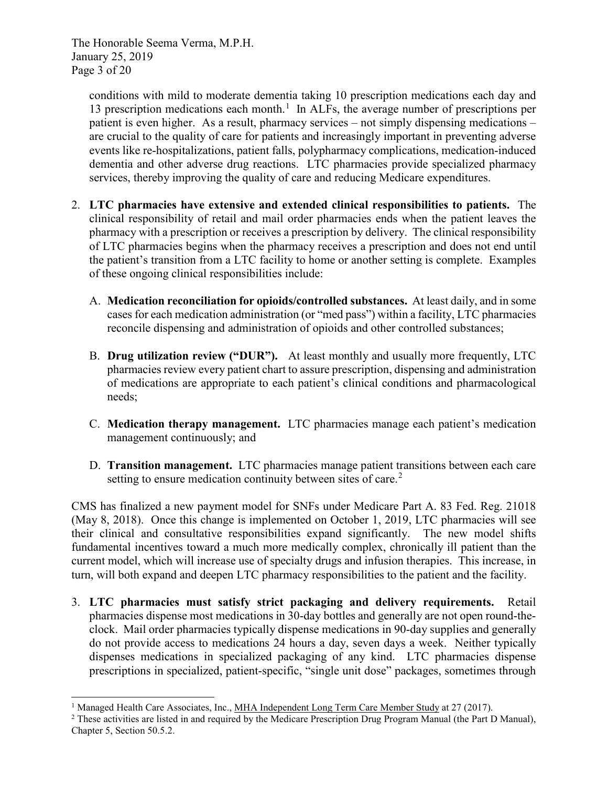The Honorable Seema Verma, M.P.H. January 25, 2019 Page 3 of 20

conditions with mild to moderate dementia taking 10 prescription medications each day and [1](#page-31-0)3 prescription medications each month.<sup>1</sup> In ALFs, the average number of prescriptions per patient is even higher. As a result, pharmacy services – not simply dispensing medications – are crucial to the quality of care for patients and increasingly important in preventing adverse events like re-hospitalizations, patient falls, polypharmacy complications, medication-induced dementia and other adverse drug reactions. LTC pharmacies provide specialized pharmacy services, thereby improving the quality of care and reducing Medicare expenditures.

- 2. **LTC pharmacies have extensive and extended clinical responsibilities to patients.** The clinical responsibility of retail and mail order pharmacies ends when the patient leaves the pharmacy with a prescription or receives a prescription by delivery. The clinical responsibility of LTC pharmacies begins when the pharmacy receives a prescription and does not end until the patient's transition from a LTC facility to home or another setting is complete. Examples of these ongoing clinical responsibilities include:
	- A. **Medication reconciliation for opioids/controlled substances.** At least daily, and in some cases for each medication administration (or "med pass") within a facility, LTC pharmacies reconcile dispensing and administration of opioids and other controlled substances;
	- B. **Drug utilization review ("DUR").** At least monthly and usually more frequently, LTC pharmacies review every patient chart to assure prescription, dispensing and administration of medications are appropriate to each patient's clinical conditions and pharmacological needs;
	- C. **Medication therapy management.** LTC pharmacies manage each patient's medication management continuously; and
	- D. **Transition management.** LTC pharmacies manage patient transitions between each care setting to ensure medication continuity between sites of care.<sup>[2](#page-31-1)</sup>

CMS has finalized a new payment model for SNFs under Medicare Part A. 83 Fed. Reg. 21018 (May 8, 2018). Once this change is implemented on October 1, 2019, LTC pharmacies will see their clinical and consultative responsibilities expand significantly. The new model shifts fundamental incentives toward a much more medically complex, chronically ill patient than the current model, which will increase use of specialty drugs and infusion therapies. This increase, in turn, will both expand and deepen LTC pharmacy responsibilities to the patient and the facility.

3. **LTC pharmacies must satisfy strict packaging and delivery requirements.** Retail pharmacies dispense most medications in 30-day bottles and generally are not open round-theclock. Mail order pharmacies typically dispense medications in 90-day supplies and generally do not provide access to medications 24 hours a day, seven days a week. Neither typically dispenses medications in specialized packaging of any kind. LTC pharmacies dispense prescriptions in specialized, patient-specific, "single unit dose" packages, sometimes through

<sup>-</sup>

<span id="page-31-1"></span><span id="page-31-0"></span><sup>&</sup>lt;sup>1</sup> Managed Health Care Associates, Inc., <u>MHA Independent Long Term Care Member Study</u> at 27 (2017).<br><sup>2</sup> These activities are listed in and required by the Medicare Prescription Drug Program Manual (the Part D Manual), Chapter 5, Section 50.5.2.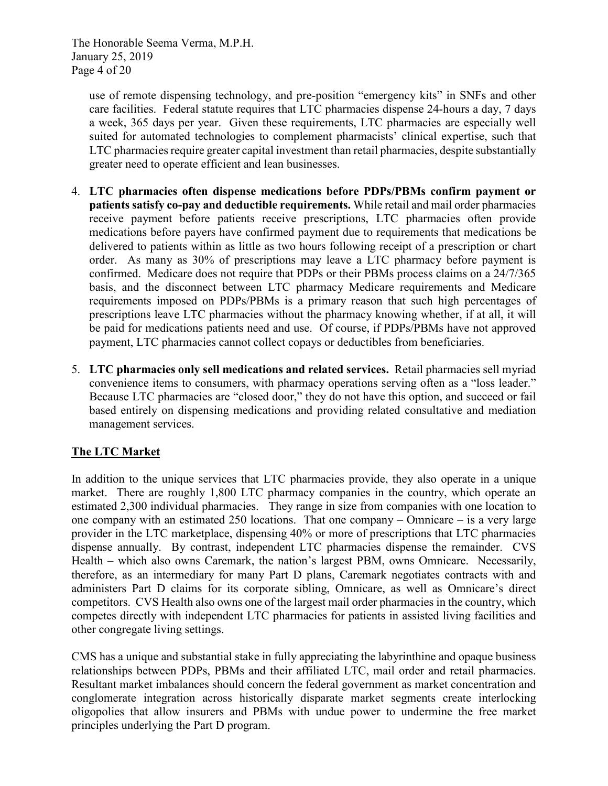The Honorable Seema Verma, M.P.H. January 25, 2019 Page 4 of 20

use of remote dispensing technology, and pre-position "emergency kits" in SNFs and other care facilities. Federal statute requires that LTC pharmacies dispense 24-hours a day, 7 days a week, 365 days per year. Given these requirements, LTC pharmacies are especially well suited for automated technologies to complement pharmacists' clinical expertise, such that LTC pharmacies require greater capital investment than retail pharmacies, despite substantially greater need to operate efficient and lean businesses.

- 4. **LTC pharmacies often dispense medications before PDPs/PBMs confirm payment or patients satisfy co-pay and deductible requirements.** While retail and mail order pharmacies receive payment before patients receive prescriptions, LTC pharmacies often provide medications before payers have confirmed payment due to requirements that medications be delivered to patients within as little as two hours following receipt of a prescription or chart order. As many as 30% of prescriptions may leave a LTC pharmacy before payment is confirmed. Medicare does not require that PDPs or their PBMs process claims on a 24/7/365 basis, and the disconnect between LTC pharmacy Medicare requirements and Medicare requirements imposed on PDPs/PBMs is a primary reason that such high percentages of prescriptions leave LTC pharmacies without the pharmacy knowing whether, if at all, it will be paid for medications patients need and use. Of course, if PDPs/PBMs have not approved payment, LTC pharmacies cannot collect copays or deductibles from beneficiaries.
- 5. **LTC pharmacies only sell medications and related services.** Retail pharmacies sell myriad convenience items to consumers, with pharmacy operations serving often as a "loss leader." Because LTC pharmacies are "closed door," they do not have this option, and succeed or fail based entirely on dispensing medications and providing related consultative and mediation management services.

### **The LTC Market**

In addition to the unique services that LTC pharmacies provide, they also operate in a unique market. There are roughly 1,800 LTC pharmacy companies in the country, which operate an estimated 2,300 individual pharmacies. They range in size from companies with one location to one company with an estimated 250 locations. That one company – Omnicare – is a very large provider in the LTC marketplace, dispensing 40% or more of prescriptions that LTC pharmacies dispense annually. By contrast, independent LTC pharmacies dispense the remainder. CVS Health – which also owns Caremark, the nation's largest PBM, owns Omnicare. Necessarily, therefore, as an intermediary for many Part D plans, Caremark negotiates contracts with and administers Part D claims for its corporate sibling, Omnicare, as well as Omnicare's direct competitors. CVS Health also owns one of the largest mail order pharmacies in the country, which competes directly with independent LTC pharmacies for patients in assisted living facilities and other congregate living settings.

CMS has a unique and substantial stake in fully appreciating the labyrinthine and opaque business relationships between PDPs, PBMs and their affiliated LTC, mail order and retail pharmacies. Resultant market imbalances should concern the federal government as market concentration and conglomerate integration across historically disparate market segments create interlocking oligopolies that allow insurers and PBMs with undue power to undermine the free market principles underlying the Part D program.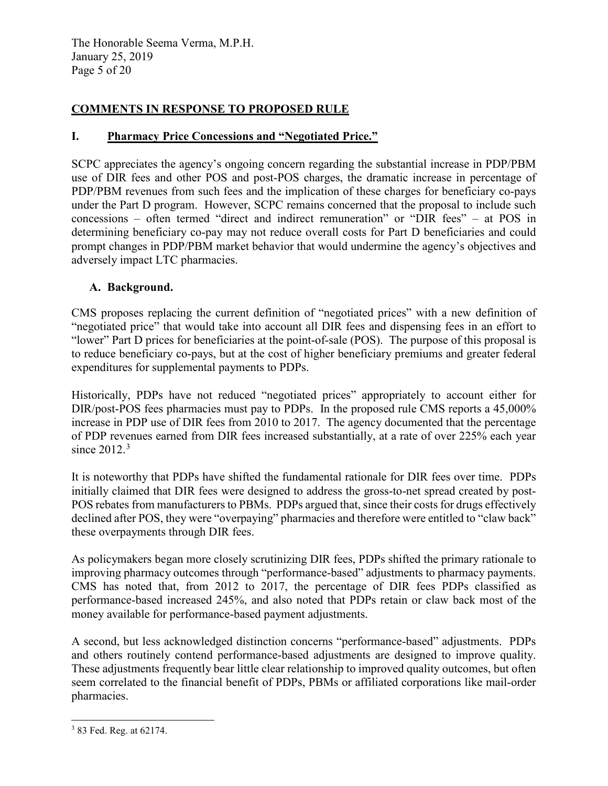The Honorable Seema Verma, M.P.H. January 25, 2019 Page 5 of 20

# **COMMENTS IN RESPONSE TO PROPOSED RULE**

### **I. Pharmacy Price Concessions and "Negotiated Price."**

SCPC appreciates the agency's ongoing concern regarding the substantial increase in PDP/PBM use of DIR fees and other POS and post-POS charges, the dramatic increase in percentage of PDP/PBM revenues from such fees and the implication of these charges for beneficiary co-pays under the Part D program. However, SCPC remains concerned that the proposal to include such concessions – often termed "direct and indirect remuneration" or "DIR fees" – at POS in determining beneficiary co-pay may not reduce overall costs for Part D beneficiaries and could prompt changes in PDP/PBM market behavior that would undermine the agency's objectives and adversely impact LTC pharmacies.

### **A. Background.**

CMS proposes replacing the current definition of "negotiated prices" with a new definition of "negotiated price" that would take into account all DIR fees and dispensing fees in an effort to "lower" Part D prices for beneficiaries at the point-of-sale (POS). The purpose of this proposal is to reduce beneficiary co-pays, but at the cost of higher beneficiary premiums and greater federal expenditures for supplemental payments to PDPs.

Historically, PDPs have not reduced "negotiated prices" appropriately to account either for DIR/post-POS fees pharmacies must pay to PDPs. In the proposed rule CMS reports a 45,000% increase in PDP use of DIR fees from 2010 to 2017. The agency documented that the percentage of PDP revenues earned from DIR fees increased substantially, at a rate of over 225% each year since  $2012.<sup>3</sup>$  $2012.<sup>3</sup>$  $2012.<sup>3</sup>$ 

It is noteworthy that PDPs have shifted the fundamental rationale for DIR fees over time. PDPs initially claimed that DIR fees were designed to address the gross-to-net spread created by post-POS rebates from manufacturers to PBMs. PDPs argued that, since their costs for drugs effectively declined after POS, they were "overpaying" pharmacies and therefore were entitled to "claw back" these overpayments through DIR fees.

As policymakers began more closely scrutinizing DIR fees, PDPs shifted the primary rationale to improving pharmacy outcomes through "performance-based" adjustments to pharmacy payments. CMS has noted that, from 2012 to 2017, the percentage of DIR fees PDPs classified as performance-based increased 245%, and also noted that PDPs retain or claw back most of the money available for performance-based payment adjustments.

A second, but less acknowledged distinction concerns "performance-based" adjustments. PDPs and others routinely contend performance-based adjustments are designed to improve quality. These adjustments frequently bear little clear relationship to improved quality outcomes, but often seem correlated to the financial benefit of PDPs, PBMs or affiliated corporations like mail-order pharmacies.

<span id="page-33-0"></span><sup>-</sup><sup>3</sup> 83 Fed. Reg. at 62174.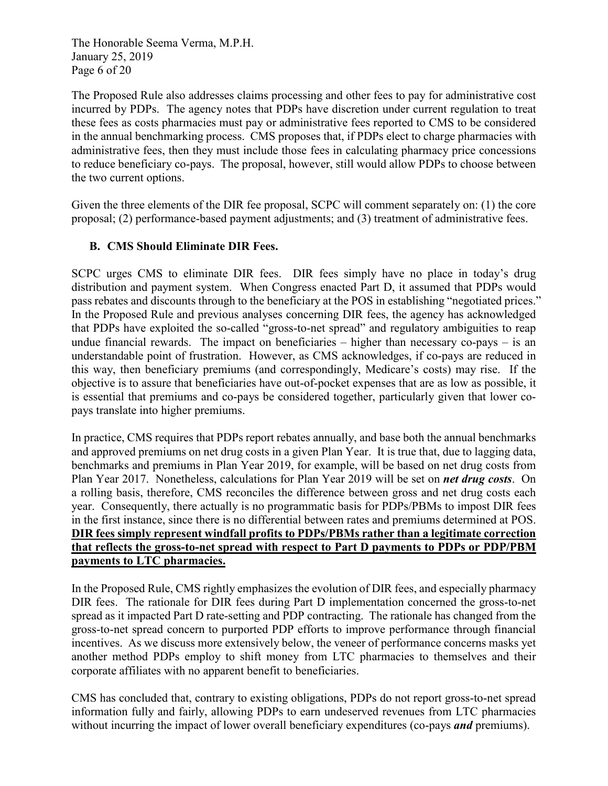The Honorable Seema Verma, M.P.H. January 25, 2019 Page 6 of 20

The Proposed Rule also addresses claims processing and other fees to pay for administrative cost incurred by PDPs. The agency notes that PDPs have discretion under current regulation to treat these fees as costs pharmacies must pay or administrative fees reported to CMS to be considered in the annual benchmarking process. CMS proposes that, if PDPs elect to charge pharmacies with administrative fees, then they must include those fees in calculating pharmacy price concessions to reduce beneficiary co-pays. The proposal, however, still would allow PDPs to choose between the two current options.

Given the three elements of the DIR fee proposal, SCPC will comment separately on: (1) the core proposal; (2) performance-based payment adjustments; and (3) treatment of administrative fees.

# **B. CMS Should Eliminate DIR Fees.**

SCPC urges CMS to eliminate DIR fees. DIR fees simply have no place in today's drug distribution and payment system. When Congress enacted Part D, it assumed that PDPs would pass rebates and discounts through to the beneficiary at the POS in establishing "negotiated prices." In the Proposed Rule and previous analyses concerning DIR fees, the agency has acknowledged that PDPs have exploited the so-called "gross-to-net spread" and regulatory ambiguities to reap undue financial rewards. The impact on beneficiaries – higher than necessary co-pays – is an understandable point of frustration. However, as CMS acknowledges, if co-pays are reduced in this way, then beneficiary premiums (and correspondingly, Medicare's costs) may rise. If the objective is to assure that beneficiaries have out-of-pocket expenses that are as low as possible, it is essential that premiums and co-pays be considered together, particularly given that lower copays translate into higher premiums.

In practice, CMS requires that PDPs report rebates annually, and base both the annual benchmarks and approved premiums on net drug costs in a given Plan Year. It is true that, due to lagging data, benchmarks and premiums in Plan Year 2019, for example, will be based on net drug costs from Plan Year 2017. Nonetheless, calculations for Plan Year 2019 will be set on *net drug costs*. On a rolling basis, therefore, CMS reconciles the difference between gross and net drug costs each year. Consequently, there actually is no programmatic basis for PDPs/PBMs to impost DIR fees in the first instance, since there is no differential between rates and premiums determined at POS. **DIR fees simply represent windfall profits to PDPs/PBMs rather than a legitimate correction that reflects the gross-to-net spread with respect to Part D payments to PDPs or PDP/PBM payments to LTC pharmacies.**

In the Proposed Rule, CMS rightly emphasizes the evolution of DIR fees, and especially pharmacy DIR fees. The rationale for DIR fees during Part D implementation concerned the gross-to-net spread as it impacted Part D rate-setting and PDP contracting. The rationale has changed from the gross-to-net spread concern to purported PDP efforts to improve performance through financial incentives. As we discuss more extensively below, the veneer of performance concerns masks yet another method PDPs employ to shift money from LTC pharmacies to themselves and their corporate affiliates with no apparent benefit to beneficiaries.

CMS has concluded that, contrary to existing obligations, PDPs do not report gross-to-net spread information fully and fairly, allowing PDPs to earn undeserved revenues from LTC pharmacies without incurring the impact of lower overall beneficiary expenditures (co-pays *and* premiums).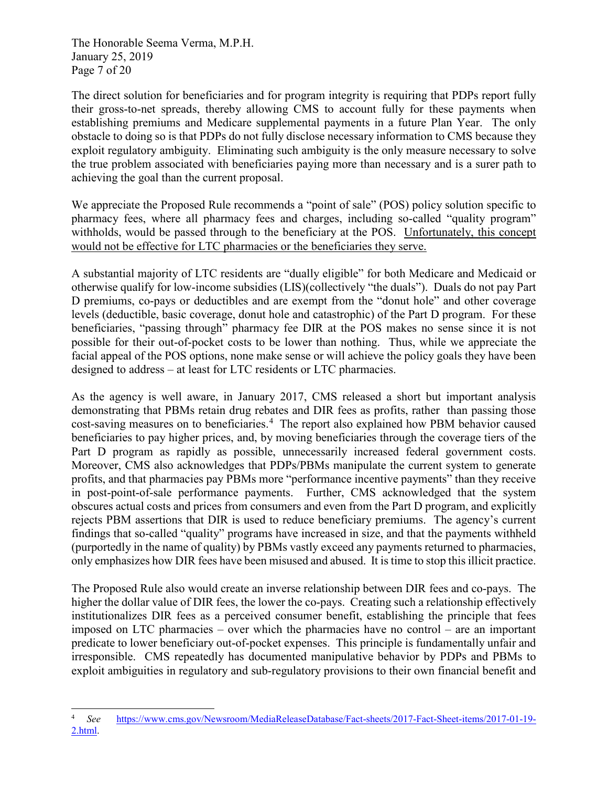The Honorable Seema Verma, M.P.H. January 25, 2019 Page 7 of 20

The direct solution for beneficiaries and for program integrity is requiring that PDPs report fully their gross-to-net spreads, thereby allowing CMS to account fully for these payments when establishing premiums and Medicare supplemental payments in a future Plan Year. The only obstacle to doing so is that PDPs do not fully disclose necessary information to CMS because they exploit regulatory ambiguity. Eliminating such ambiguity is the only measure necessary to solve the true problem associated with beneficiaries paying more than necessary and is a surer path to achieving the goal than the current proposal.

We appreciate the Proposed Rule recommends a "point of sale" (POS) policy solution specific to pharmacy fees, where all pharmacy fees and charges, including so-called "quality program" withholds, would be passed through to the beneficiary at the POS. Unfortunately, this concept would not be effective for LTC pharmacies or the beneficiaries they serve.

A substantial majority of LTC residents are "dually eligible" for both Medicare and Medicaid or otherwise qualify for low-income subsidies (LIS)(collectively "the duals"). Duals do not pay Part D premiums, co-pays or deductibles and are exempt from the "donut hole" and other coverage levels (deductible, basic coverage, donut hole and catastrophic) of the Part D program. For these beneficiaries, "passing through" pharmacy fee DIR at the POS makes no sense since it is not possible for their out-of-pocket costs to be lower than nothing. Thus, while we appreciate the facial appeal of the POS options, none make sense or will achieve the policy goals they have been designed to address – at least for LTC residents or LTC pharmacies.

As the agency is well aware, in January 2017, CMS released a short but important analysis demonstrating that PBMs retain drug rebates and DIR fees as profits, rather than passing those cost-saving measures on to beneficiaries.<sup>[4](#page-35-0)</sup> The report also explained how PBM behavior caused beneficiaries to pay higher prices, and, by moving beneficiaries through the coverage tiers of the Part D program as rapidly as possible, unnecessarily increased federal government costs. Moreover, CMS also acknowledges that PDPs/PBMs manipulate the current system to generate profits, and that pharmacies pay PBMs more "performance incentive payments" than they receive in post-point-of-sale performance payments. Further, CMS acknowledged that the system obscures actual costs and prices from consumers and even from the Part D program, and explicitly rejects PBM assertions that DIR is used to reduce beneficiary premiums. The agency's current findings that so-called "quality" programs have increased in size, and that the payments withheld (purportedly in the name of quality) by PBMs vastly exceed any payments returned to pharmacies, only emphasizes how DIR fees have been misused and abused. It is time to stop this illicit practice.

The Proposed Rule also would create an inverse relationship between DIR fees and co-pays. The higher the dollar value of DIR fees, the lower the co-pays. Creating such a relationship effectively institutionalizes DIR fees as a perceived consumer benefit, establishing the principle that fees imposed on LTC pharmacies – over which the pharmacies have no control – are an important predicate to lower beneficiary out-of-pocket expenses. This principle is fundamentally unfair and irresponsible. CMS repeatedly has documented manipulative behavior by PDPs and PBMs to exploit ambiguities in regulatory and sub-regulatory provisions to their own financial benefit and

<span id="page-35-0"></span>j <sup>4</sup> *See* [https://www.cms.gov/Newsroom/MediaReleaseDatabase/Fact-sheets/2017-Fact-Sheet-items/2017-01-19-](https://www.cms.gov/Newsroom/MediaReleaseDatabase/Fact-sheets/2017-Fact-Sheet-items/2017-01-19-2.html) [2.html.](https://www.cms.gov/Newsroom/MediaReleaseDatabase/Fact-sheets/2017-Fact-Sheet-items/2017-01-19-2.html)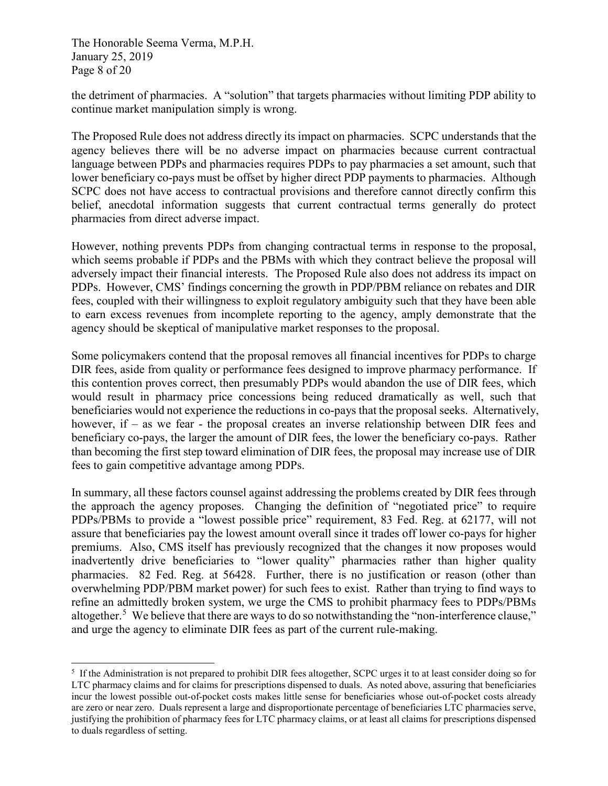The Honorable Seema Verma, M.P.H. January 25, 2019 Page 8 of 20

the detriment of pharmacies. A "solution" that targets pharmacies without limiting PDP ability to continue market manipulation simply is wrong.

The Proposed Rule does not address directly its impact on pharmacies. SCPC understands that the agency believes there will be no adverse impact on pharmacies because current contractual language between PDPs and pharmacies requires PDPs to pay pharmacies a set amount, such that lower beneficiary co-pays must be offset by higher direct PDP payments to pharmacies. Although SCPC does not have access to contractual provisions and therefore cannot directly confirm this belief, anecdotal information suggests that current contractual terms generally do protect pharmacies from direct adverse impact.

However, nothing prevents PDPs from changing contractual terms in response to the proposal, which seems probable if PDPs and the PBMs with which they contract believe the proposal will adversely impact their financial interests. The Proposed Rule also does not address its impact on PDPs. However, CMS' findings concerning the growth in PDP/PBM reliance on rebates and DIR fees, coupled with their willingness to exploit regulatory ambiguity such that they have been able to earn excess revenues from incomplete reporting to the agency, amply demonstrate that the agency should be skeptical of manipulative market responses to the proposal.

Some policymakers contend that the proposal removes all financial incentives for PDPs to charge DIR fees, aside from quality or performance fees designed to improve pharmacy performance. If this contention proves correct, then presumably PDPs would abandon the use of DIR fees, which would result in pharmacy price concessions being reduced dramatically as well, such that beneficiaries would not experience the reductions in co-pays that the proposal seeks. Alternatively, however, if – as we fear - the proposal creates an inverse relationship between DIR fees and beneficiary co-pays, the larger the amount of DIR fees, the lower the beneficiary co-pays. Rather than becoming the first step toward elimination of DIR fees, the proposal may increase use of DIR fees to gain competitive advantage among PDPs.

In summary, all these factors counsel against addressing the problems created by DIR fees through the approach the agency proposes. Changing the definition of "negotiated price" to require PDPs/PBMs to provide a "lowest possible price" requirement, 83 Fed. Reg. at 62177, will not assure that beneficiaries pay the lowest amount overall since it trades off lower co-pays for higher premiums. Also, CMS itself has previously recognized that the changes it now proposes would inadvertently drive beneficiaries to "lower quality" pharmacies rather than higher quality pharmacies. 82 Fed. Reg. at 56428. Further, there is no justification or reason (other than overwhelming PDP/PBM market power) for such fees to exist. Rather than trying to find ways to refine an admittedly broken system, we urge the CMS to prohibit pharmacy fees to PDPs/PBMs altogether.<sup>[5](#page-36-0)</sup> We believe that there are ways to do so notwithstanding the "non-interference clause," and urge the agency to eliminate DIR fees as part of the current rule-making.

<span id="page-36-0"></span><sup>-</sup><sup>5</sup> If the Administration is not prepared to prohibit DIR fees altogether, SCPC urges it to at least consider doing so for LTC pharmacy claims and for claims for prescriptions dispensed to duals. As noted above, assuring that beneficiaries incur the lowest possible out-of-pocket costs makes little sense for beneficiaries whose out-of-pocket costs already are zero or near zero. Duals represent a large and disproportionate percentage of beneficiaries LTC pharmacies serve, justifying the prohibition of pharmacy fees for LTC pharmacy claims, or at least all claims for prescriptions dispensed to duals regardless of setting.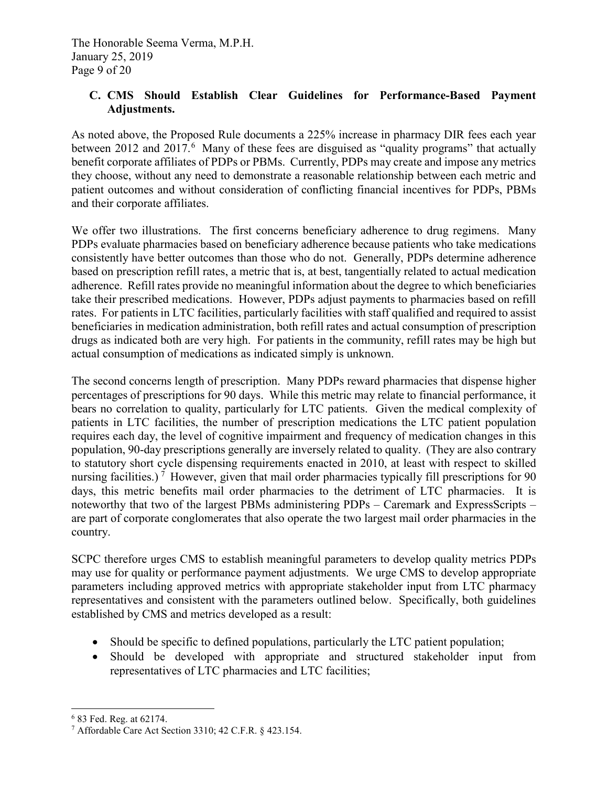# **C. CMS Should Establish Clear Guidelines for Performance-Based Payment Adjustments.**

As noted above, the Proposed Rule documents a 225% increase in pharmacy DIR fees each year between 2012 and 2017.<sup>[6](#page-37-0)</sup> Many of these fees are disguised as "quality programs" that actually benefit corporate affiliates of PDPs or PBMs. Currently, PDPs may create and impose any metrics they choose, without any need to demonstrate a reasonable relationship between each metric and patient outcomes and without consideration of conflicting financial incentives for PDPs, PBMs and their corporate affiliates.

We offer two illustrations. The first concerns beneficiary adherence to drug regimens. Many PDPs evaluate pharmacies based on beneficiary adherence because patients who take medications consistently have better outcomes than those who do not. Generally, PDPs determine adherence based on prescription refill rates, a metric that is, at best, tangentially related to actual medication adherence. Refill rates provide no meaningful information about the degree to which beneficiaries take their prescribed medications. However, PDPs adjust payments to pharmacies based on refill rates. For patients in LTC facilities, particularly facilities with staff qualified and required to assist beneficiaries in medication administration, both refill rates and actual consumption of prescription drugs as indicated both are very high. For patients in the community, refill rates may be high but actual consumption of medications as indicated simply is unknown.

The second concerns length of prescription. Many PDPs reward pharmacies that dispense higher percentages of prescriptions for 90 days. While this metric may relate to financial performance, it bears no correlation to quality, particularly for LTC patients. Given the medical complexity of patients in LTC facilities, the number of prescription medications the LTC patient population requires each day, the level of cognitive impairment and frequency of medication changes in this population, 90-day prescriptions generally are inversely related to quality. (They are also contrary to statutory short cycle dispensing requirements enacted in 2010, at least with respect to skilled nursing facilities.)<sup>[7](#page-37-1)</sup> However, given that mail order pharmacies typically fill prescriptions for 90 days, this metric benefits mail order pharmacies to the detriment of LTC pharmacies. It is noteworthy that two of the largest PBMs administering PDPs – Caremark and ExpressScripts – are part of corporate conglomerates that also operate the two largest mail order pharmacies in the country.

SCPC therefore urges CMS to establish meaningful parameters to develop quality metrics PDPs may use for quality or performance payment adjustments. We urge CMS to develop appropriate parameters including approved metrics with appropriate stakeholder input from LTC pharmacy representatives and consistent with the parameters outlined below. Specifically, both guidelines established by CMS and metrics developed as a result:

- Should be specific to defined populations, particularly the LTC patient population;
- Should be developed with appropriate and structured stakeholder input from representatives of LTC pharmacies and LTC facilities;

<span id="page-37-0"></span>j <sup>6</sup> 83 Fed. Reg. at 62174.

<span id="page-37-1"></span><sup>7</sup> Affordable Care Act Section 3310; 42 C.F.R. § 423.154.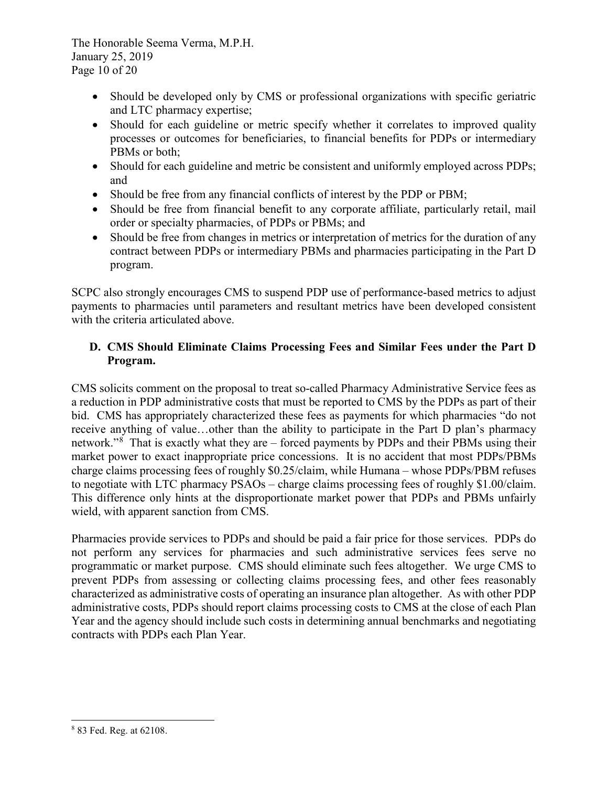The Honorable Seema Verma, M.P.H. January 25, 2019 Page 10 of 20

- Should be developed only by CMS or professional organizations with specific geriatric and LTC pharmacy expertise;
- Should for each guideline or metric specify whether it correlates to improved quality processes or outcomes for beneficiaries, to financial benefits for PDPs or intermediary PBMs or both;
- Should for each guideline and metric be consistent and uniformly employed across PDPs; and
- Should be free from any financial conflicts of interest by the PDP or PBM;
- Should be free from financial benefit to any corporate affiliate, particularly retail, mail order or specialty pharmacies, of PDPs or PBMs; and
- Should be free from changes in metrics or interpretation of metrics for the duration of any contract between PDPs or intermediary PBMs and pharmacies participating in the Part D program.

SCPC also strongly encourages CMS to suspend PDP use of performance-based metrics to adjust payments to pharmacies until parameters and resultant metrics have been developed consistent with the criteria articulated above.

# **D. CMS Should Eliminate Claims Processing Fees and Similar Fees under the Part D Program.**

CMS solicits comment on the proposal to treat so-called Pharmacy Administrative Service fees as a reduction in PDP administrative costs that must be reported to CMS by the PDPs as part of their bid. CMS has appropriately characterized these fees as payments for which pharmacies "do not receive anything of value…other than the ability to participate in the Part D plan's pharmacy network."<sup>[8](#page-38-0)</sup> That is exactly what they are – forced payments by PDPs and their PBMs using their market power to exact inappropriate price concessions. It is no accident that most PDPs/PBMs charge claims processing fees of roughly \$0.25/claim, while Humana – whose PDPs/PBM refuses to negotiate with LTC pharmacy PSAOs – charge claims processing fees of roughly \$1.00/claim. This difference only hints at the disproportionate market power that PDPs and PBMs unfairly wield, with apparent sanction from CMS.

Pharmacies provide services to PDPs and should be paid a fair price for those services. PDPs do not perform any services for pharmacies and such administrative services fees serve no programmatic or market purpose. CMS should eliminate such fees altogether. We urge CMS to prevent PDPs from assessing or collecting claims processing fees, and other fees reasonably characterized as administrative costs of operating an insurance plan altogether. As with other PDP administrative costs, PDPs should report claims processing costs to CMS at the close of each Plan Year and the agency should include such costs in determining annual benchmarks and negotiating contracts with PDPs each Plan Year.

<span id="page-38-0"></span><sup>-</sup><sup>8</sup> 83 Fed. Reg. at 62108.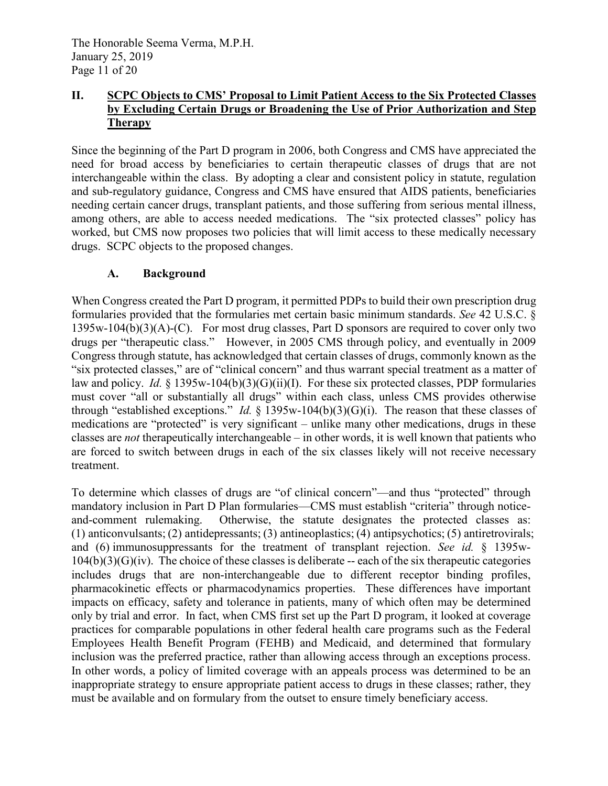# **II. SCPC Objects to CMS' Proposal to Limit Patient Access to the Six Protected Classes by Excluding Certain Drugs or Broadening the Use of Prior Authorization and Step Therapy**

Since the beginning of the Part D program in 2006, both Congress and CMS have appreciated the need for broad access by beneficiaries to certain therapeutic classes of drugs that are not interchangeable within the class. By adopting a clear and consistent policy in statute, regulation and sub-regulatory guidance, Congress and CMS have ensured that AIDS patients, beneficiaries needing certain cancer drugs, transplant patients, and those suffering from serious mental illness, among others, are able to access needed medications. The "six protected classes" policy has worked, but CMS now proposes two policies that will limit access to these medically necessary drugs. SCPC objects to the proposed changes.

### **A. Background**

When Congress created the Part D program, it permitted PDPs to build their own prescription drug formularies provided that the formularies met certain basic minimum standards. *See* 42 U.S.C. §  $1395w-104(b)(3)(A)-(C)$ . For most drug classes, Part D sponsors are required to cover only two drugs per "therapeutic class." However, in 2005 CMS through policy, and eventually in 2009 Congress through statute, has acknowledged that certain classes of drugs, commonly known as the "six protected classes," are of "clinical concern" and thus warrant special treatment as a matter of law and policy. *Id.* § 1395w-104(b)(3)(G)(ii)(I). For these six protected classes, PDP formularies must cover "all or substantially all drugs" within each class, unless CMS provides otherwise through "established exceptions." *Id.* § 1395w-104(b)(3)(G)(i). The reason that these classes of medications are "protected" is very significant – unlike many other medications, drugs in these classes are *not* therapeutically interchangeable – in other words, it is well known that patients who are forced to switch between drugs in each of the six classes likely will not receive necessary treatment.

To determine which classes of drugs are "of clinical concern"—and thus "protected" through mandatory inclusion in Part D Plan formularies—CMS must establish "criteria" through noticeand-comment rulemaking. Otherwise, the statute designates the protected classes as: (1) anticonvulsants; (2) antidepressants; (3) antineoplastics; (4) antipsychotics; (5) antiretrovirals; and (6) immunosuppressants for the treatment of transplant rejection. *See id.* § 1395w- $104(b)(3)(G)(iv)$ . The choice of these classes is deliberate -- each of the six therapeutic categories includes drugs that are non-interchangeable due to different receptor binding profiles, pharmacokinetic effects or pharmacodynamics properties. These differences have important impacts on efficacy, safety and tolerance in patients, many of which often may be determined only by trial and error. In fact, when CMS first set up the Part D program, it looked at coverage practices for comparable populations in other federal health care programs such as the Federal Employees Health Benefit Program (FEHB) and Medicaid, and determined that formulary inclusion was the preferred practice, rather than allowing access through an exceptions process. In other words, a policy of limited coverage with an appeals process was determined to be an inappropriate strategy to ensure appropriate patient access to drugs in these classes; rather, they must be available and on formulary from the outset to ensure timely beneficiary access.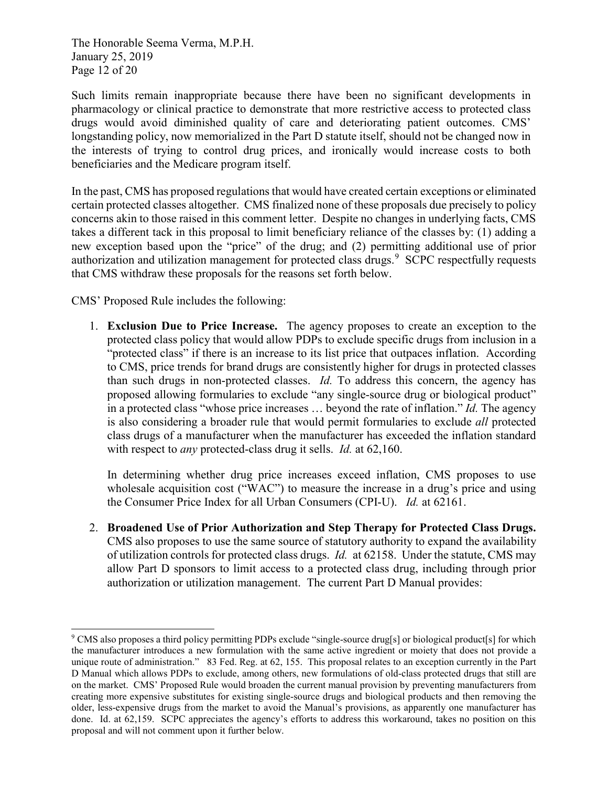The Honorable Seema Verma, M.P.H. January 25, 2019 Page 12 of 20

Such limits remain inappropriate because there have been no significant developments in pharmacology or clinical practice to demonstrate that more restrictive access to protected class drugs would avoid diminished quality of care and deteriorating patient outcomes. CMS' longstanding policy, now memorialized in the Part D statute itself, should not be changed now in the interests of trying to control drug prices, and ironically would increase costs to both beneficiaries and the Medicare program itself.

In the past, CMS has proposed regulations that would have created certain exceptions or eliminated certain protected classes altogether. CMS finalized none of these proposals due precisely to policy concerns akin to those raised in this comment letter. Despite no changes in underlying facts, CMS takes a different tack in this proposal to limit beneficiary reliance of the classes by: (1) adding a new exception based upon the "price" of the drug; and (2) permitting additional use of prior authorization and utilization management for protected class drugs.<sup>[9](#page-40-0)</sup> SCPC respectfully requests that CMS withdraw these proposals for the reasons set forth below.

CMS' Proposed Rule includes the following:

1. **Exclusion Due to Price Increase.** The agency proposes to create an exception to the protected class policy that would allow PDPs to exclude specific drugs from inclusion in a "protected class" if there is an increase to its list price that outpaces inflation. According to CMS, price trends for brand drugs are consistently higher for drugs in protected classes than such drugs in non-protected classes. *Id.* To address this concern, the agency has proposed allowing formularies to exclude "any single-source drug or biological product" in a protected class "whose price increases … beyond the rate of inflation." *Id.* The agency is also considering a broader rule that would permit formularies to exclude *all* protected class drugs of a manufacturer when the manufacturer has exceeded the inflation standard with respect to *any* protected-class drug it sells. *Id.* at 62,160.

In determining whether drug price increases exceed inflation, CMS proposes to use wholesale acquisition cost ("WAC") to measure the increase in a drug's price and using the Consumer Price Index for all Urban Consumers (CPI-U). *Id.* at 62161.

2. **Broadened Use of Prior Authorization and Step Therapy for Protected Class Drugs.**  CMS also proposes to use the same source of statutory authority to expand the availability of utilization controls for protected class drugs. *Id.* at 62158. Under the statute, CMS may allow Part D sponsors to limit access to a protected class drug, including through prior authorization or utilization management. The current Part D Manual provides:

<span id="page-40-0"></span><sup>-</sup><sup>9</sup> CMS also proposes a third policy permitting PDPs exclude "single-source drug[s] or biological product[s] for which the manufacturer introduces a new formulation with the same active ingredient or moiety that does not provide a unique route of administration." 83 Fed. Reg. at 62, 155. This proposal relates to an exception currently in the Part D Manual which allows PDPs to exclude, among others, new formulations of old-class protected drugs that still are on the market. CMS' Proposed Rule would broaden the current manual provision by preventing manufacturers from creating more expensive substitutes for existing single-source drugs and biological products and then removing the older, less-expensive drugs from the market to avoid the Manual's provisions, as apparently one manufacturer has done. Id. at 62,159. SCPC appreciates the agency's efforts to address this workaround, takes no position on this proposal and will not comment upon it further below.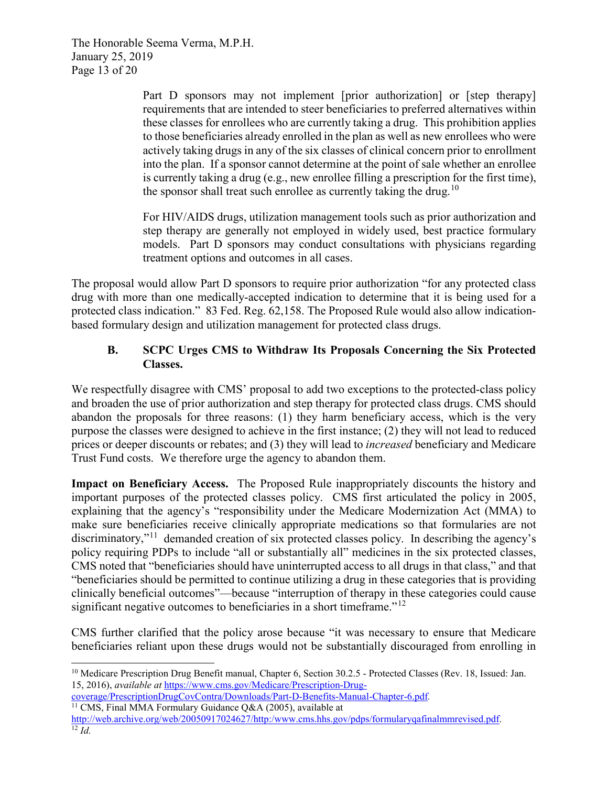The Honorable Seema Verma, M.P.H. January 25, 2019 Page 13 of 20

> Part D sponsors may not implement [prior authorization] or [step therapy] requirements that are intended to steer beneficiaries to preferred alternatives within these classes for enrollees who are currently taking a drug. This prohibition applies to those beneficiaries already enrolled in the plan as well as new enrollees who were actively taking drugs in any of the six classes of clinical concern prior to enrollment into the plan. If a sponsor cannot determine at the point of sale whether an enrollee is currently taking a drug (e.g., new enrollee filling a prescription for the first time), the sponsor shall treat such enrollee as currently taking the drug.<sup>[10](#page-41-0)</sup>

> For HIV/AIDS drugs, utilization management tools such as prior authorization and step therapy are generally not employed in widely used, best practice formulary models. Part D sponsors may conduct consultations with physicians regarding treatment options and outcomes in all cases.

The proposal would allow Part D sponsors to require prior authorization "for any protected class drug with more than one medically-accepted indication to determine that it is being used for a protected class indication." 83 Fed. Reg. 62,158. The Proposed Rule would also allow indicationbased formulary design and utilization management for protected class drugs.

### **B. SCPC Urges CMS to Withdraw Its Proposals Concerning the Six Protected Classes.**

We respectfully disagree with CMS' proposal to add two exceptions to the protected-class policy and broaden the use of prior authorization and step therapy for protected class drugs. CMS should abandon the proposals for three reasons: (1) they harm beneficiary access, which is the very purpose the classes were designed to achieve in the first instance; (2) they will not lead to reduced prices or deeper discounts or rebates; and (3) they will lead to *increased* beneficiary and Medicare Trust Fund costs. We therefore urge the agency to abandon them.

**Impact on Beneficiary Access.** The Proposed Rule inappropriately discounts the history and important purposes of the protected classes policy. CMS first articulated the policy in 2005, explaining that the agency's "responsibility under the Medicare Modernization Act (MMA) to make sure beneficiaries receive clinically appropriate medications so that formularies are not discriminatory,"[11](#page-41-1) demanded creation of six protected classes policy. In describing the agency's policy requiring PDPs to include "all or substantially all" medicines in the six protected classes, CMS noted that "beneficiaries should have uninterrupted access to all drugs in that class," and that "beneficiaries should be permitted to continue utilizing a drug in these categories that is providing clinically beneficial outcomes"—because "interruption of therapy in these categories could cause significant negative outcomes to beneficiaries in a short timeframe."<sup>[12](#page-41-2)</sup>

CMS further clarified that the policy arose because "it was necessary to ensure that Medicare beneficiaries reliant upon these drugs would not be substantially discouraged from enrolling in

[coverage/PrescriptionDrugCovContra/Downloads/Part-D-Benefits-Manual-Chapter-6.pdf](https://www.cms.gov/Medicare/Prescription-Drug-coverage/PrescriptionDrugCovContra/Downloads/Part-D-Benefits-Manual-Chapter-6.pdf)*.* 

<span id="page-41-1"></span><sup>11</sup> CMS, Final MMA Formulary Guidance Q&A (2005), available at

-

<span id="page-41-0"></span><sup>&</sup>lt;sup>10</sup> Medicare Prescription Drug Benefit manual, Chapter 6, Section 30.2.5 - Protected Classes (Rev. 18, Issued: Jan. 15, 2016), *available at* [https://www.cms.gov/Medicare/Prescription-Drug-](https://www.cms.gov/Medicare/Prescription-Drug-coverage/PrescriptionDrugCovContra/Downloads/Part-D-Benefits-Manual-Chapter-6.pdf)

<span id="page-41-2"></span>[http://web.archive.org/web/20050917024627/http:/www.cms.hhs.gov/pdps/formularyqafinalmmrevised.pdf.](http://web.archive.org/web/20050917024627/http:/www.cms.hhs.gov/pdps/formularyqafinalmmrevised.pdf) 12 *Id.*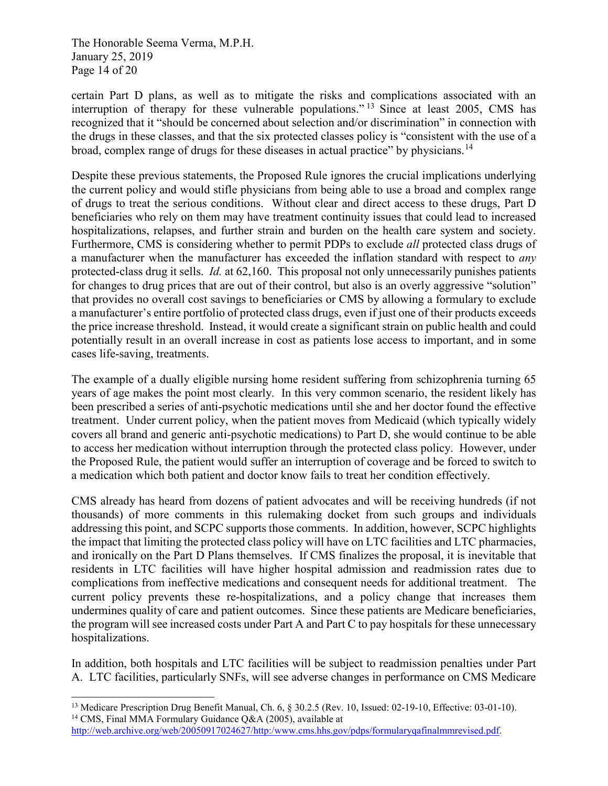The Honorable Seema Verma, M.P.H. January 25, 2019 Page 14 of 20

certain Part D plans, as well as to mitigate the risks and complications associated with an interruption of therapy for these vulnerable populations."<sup>[13](#page-42-0)</sup> Since at least 2005, CMS has recognized that it "should be concerned about selection and/or discrimination" in connection with the drugs in these classes, and that the six protected classes policy is "consistent with the use of a broad, complex range of drugs for these diseases in actual practice" by physicians.[14](#page-42-1)

Despite these previous statements, the Proposed Rule ignores the crucial implications underlying the current policy and would stifle physicians from being able to use a broad and complex range of drugs to treat the serious conditions. Without clear and direct access to these drugs, Part D beneficiaries who rely on them may have treatment continuity issues that could lead to increased hospitalizations, relapses, and further strain and burden on the health care system and society. Furthermore, CMS is considering whether to permit PDPs to exclude *all* protected class drugs of a manufacturer when the manufacturer has exceeded the inflation standard with respect to *any*  protected-class drug it sells. *Id.* at 62,160. This proposal not only unnecessarily punishes patients for changes to drug prices that are out of their control, but also is an overly aggressive "solution" that provides no overall cost savings to beneficiaries or CMS by allowing a formulary to exclude a manufacturer's entire portfolio of protected class drugs, even if just one of their products exceeds the price increase threshold. Instead, it would create a significant strain on public health and could potentially result in an overall increase in cost as patients lose access to important, and in some cases life-saving, treatments.

The example of a dually eligible nursing home resident suffering from schizophrenia turning 65 years of age makes the point most clearly. In this very common scenario, the resident likely has been prescribed a series of anti-psychotic medications until she and her doctor found the effective treatment. Under current policy, when the patient moves from Medicaid (which typically widely covers all brand and generic anti-psychotic medications) to Part D, she would continue to be able to access her medication without interruption through the protected class policy. However, under the Proposed Rule, the patient would suffer an interruption of coverage and be forced to switch to a medication which both patient and doctor know fails to treat her condition effectively.

CMS already has heard from dozens of patient advocates and will be receiving hundreds (if not thousands) of more comments in this rulemaking docket from such groups and individuals addressing this point, and SCPC supports those comments. In addition, however, SCPC highlights the impact that limiting the protected class policy will have on LTC facilities and LTC pharmacies, and ironically on the Part D Plans themselves. If CMS finalizes the proposal, it is inevitable that residents in LTC facilities will have higher hospital admission and readmission rates due to complications from ineffective medications and consequent needs for additional treatment. The current policy prevents these re-hospitalizations, and a policy change that increases them undermines quality of care and patient outcomes. Since these patients are Medicare beneficiaries, the program will see increased costs under Part A and Part C to pay hospitals for these unnecessary hospitalizations.

In addition, both hospitals and LTC facilities will be subject to readmission penalties under Part A. LTC facilities, particularly SNFs, will see adverse changes in performance on CMS Medicare

<span id="page-42-0"></span><sup>-</sup><sup>13</sup> Medicare Prescription Drug Benefit Manual, Ch. 6, § 30.2.5 (Rev. 10, Issued: 02-19-10, Effective: 03-01-10). <sup>14</sup> CMS, Final MMA Formulary Guidance Q&A (2005), available at

<span id="page-42-1"></span>[http://web.archive.org/web/20050917024627/http:/www.cms.hhs.gov/pdps/formularyqafinalmmrevised.pdf.](http://web.archive.org/web/20050917024627/http:/www.cms.hhs.gov/pdps/formularyqafinalmmrevised.pdf)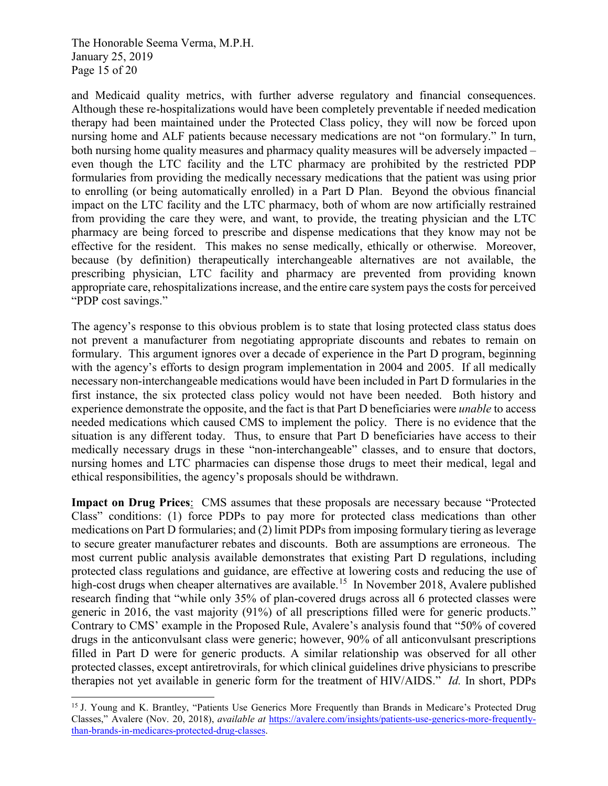The Honorable Seema Verma, M.P.H. January 25, 2019 Page 15 of 20

-

and Medicaid quality metrics, with further adverse regulatory and financial consequences. Although these re-hospitalizations would have been completely preventable if needed medication therapy had been maintained under the Protected Class policy, they will now be forced upon nursing home and ALF patients because necessary medications are not "on formulary." In turn, both nursing home quality measures and pharmacy quality measures will be adversely impacted – even though the LTC facility and the LTC pharmacy are prohibited by the restricted PDP formularies from providing the medically necessary medications that the patient was using prior to enrolling (or being automatically enrolled) in a Part D Plan. Beyond the obvious financial impact on the LTC facility and the LTC pharmacy, both of whom are now artificially restrained from providing the care they were, and want, to provide, the treating physician and the LTC pharmacy are being forced to prescribe and dispense medications that they know may not be effective for the resident. This makes no sense medically, ethically or otherwise. Moreover, because (by definition) therapeutically interchangeable alternatives are not available, the prescribing physician, LTC facility and pharmacy are prevented from providing known appropriate care, rehospitalizations increase, and the entire care system pays the costs for perceived "PDP cost savings."

The agency's response to this obvious problem is to state that losing protected class status does not prevent a manufacturer from negotiating appropriate discounts and rebates to remain on formulary. This argument ignores over a decade of experience in the Part D program, beginning with the agency's efforts to design program implementation in 2004 and 2005. If all medically necessary non-interchangeable medications would have been included in Part D formularies in the first instance, the six protected class policy would not have been needed. Both history and experience demonstrate the opposite, and the fact is that Part D beneficiaries were *unable* to access needed medications which caused CMS to implement the policy. There is no evidence that the situation is any different today. Thus, to ensure that Part D beneficiaries have access to their medically necessary drugs in these "non-interchangeable" classes, and to ensure that doctors, nursing homes and LTC pharmacies can dispense those drugs to meet their medical, legal and ethical responsibilities, the agency's proposals should be withdrawn.

**Impact on Drug Prices**: CMS assumes that these proposals are necessary because "Protected Class" conditions: (1) force PDPs to pay more for protected class medications than other medications on Part D formularies; and (2) limit PDPs from imposing formulary tiering as leverage to secure greater manufacturer rebates and discounts. Both are assumptions are erroneous. The most current public analysis available demonstrates that existing Part D regulations, including protected class regulations and guidance, are effective at lowering costs and reducing the use of high-cost drugs when cheaper alternatives are available.<sup>15</sup> In November 2018, Avalere published research finding that "while only 35% of plan-covered drugs across all 6 protected classes were generic in 2016, the vast majority (91%) of all prescriptions filled were for generic products." Contrary to CMS' example in the Proposed Rule, Avalere's analysis found that "50% of covered drugs in the anticonvulsant class were generic; however, 90% of all anticonvulsant prescriptions filled in Part D were for generic products. A similar relationship was observed for all other protected classes, except antiretrovirals, for which clinical guidelines drive physicians to prescribe therapies not yet available in generic form for the treatment of HIV/AIDS." *Id.* In short, PDPs

<span id="page-43-0"></span><sup>&</sup>lt;sup>15</sup> J. Young and K. Brantley, "Patients Use Generics More Frequently than Brands in Medicare's Protected Drug Classes," Avalere (Nov. 20, 2018), *available at* [https://avalere.com/insights/patients-use-generics-more-frequently](https://avalere.com/insights/patients-use-generics-more-frequently-than-brands-in-medicares-protected-drug-classes)[than-brands-in-medicares-protected-drug-classes.](https://avalere.com/insights/patients-use-generics-more-frequently-than-brands-in-medicares-protected-drug-classes)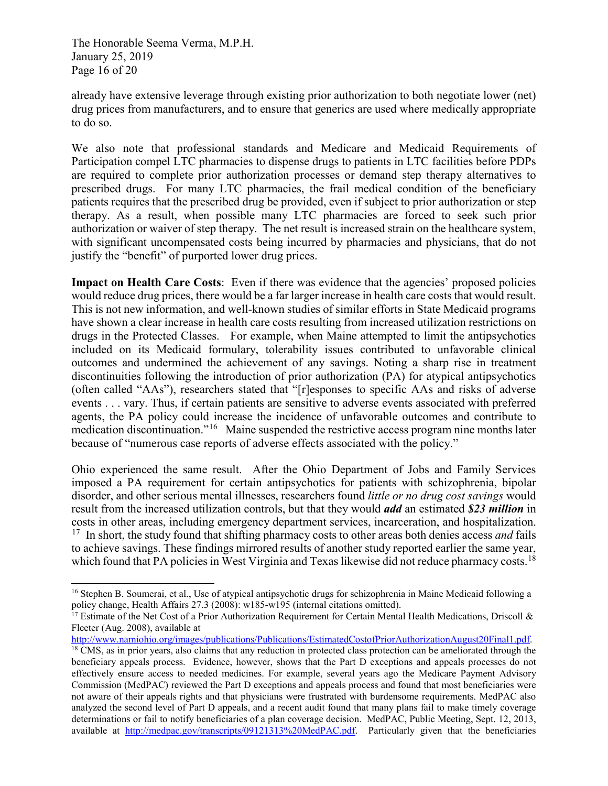The Honorable Seema Verma, M.P.H. January 25, 2019 Page 16 of 20

-

already have extensive leverage through existing prior authorization to both negotiate lower (net) drug prices from manufacturers, and to ensure that generics are used where medically appropriate to do so.

We also note that professional standards and Medicare and Medicaid Requirements of Participation compel LTC pharmacies to dispense drugs to patients in LTC facilities before PDPs are required to complete prior authorization processes or demand step therapy alternatives to prescribed drugs. For many LTC pharmacies, the frail medical condition of the beneficiary patients requires that the prescribed drug be provided, even if subject to prior authorization or step therapy. As a result, when possible many LTC pharmacies are forced to seek such prior authorization or waiver of step therapy. The net result is increased strain on the healthcare system, with significant uncompensated costs being incurred by pharmacies and physicians, that do not justify the "benefit" of purported lower drug prices.

**Impact on Health Care Costs:** Even if there was evidence that the agencies' proposed policies would reduce drug prices, there would be a far larger increase in health care costs that would result. This is not new information, and well-known studies of similar efforts in State Medicaid programs have shown a clear increase in health care costs resulting from increased utilization restrictions on drugs in the Protected Classes. For example, when Maine attempted to limit the antipsychotics included on its Medicaid formulary, tolerability issues contributed to unfavorable clinical outcomes and undermined the achievement of any savings. Noting a sharp rise in treatment discontinuities following the introduction of prior authorization (PA) for atypical antipsychotics (often called "AAs"), researchers stated that "[r]esponses to specific AAs and risks of adverse events . . . vary. Thus, if certain patients are sensitive to adverse events associated with preferred agents, the PA policy could increase the incidence of unfavorable outcomes and contribute to medication discontinuation."[16](#page-44-0) Maine suspended the restrictive access program nine months later because of "numerous case reports of adverse effects associated with the policy."

Ohio experienced the same result. After the Ohio Department of Jobs and Family Services imposed a PA requirement for certain antipsychotics for patients with schizophrenia, bipolar disorder, and other serious mental illnesses, researchers found *little or no drug cost savings* would result from the increased utilization controls, but that they would *add* an estimated *\$23 million* in costs in other areas, including emergency department services, incarceration, and hospitalization. [17](#page-44-1) In short, the study found that shifting pharmacy costs to other areas both denies access *and* fails to achieve savings. These findings mirrored results of another study reported earlier the same year, which found that PA policies in West Virginia and Texas likewise did not reduce pharmacy costs.<sup>[18](#page-44-2)</sup>

<span id="page-44-0"></span><sup>&</sup>lt;sup>16</sup> Stephen B. Soumerai, et al., Use of atypical antipsychotic drugs for schizophrenia in Maine Medicaid following a policy change, Health Affairs 27.3 (2008): w185-w195 (internal citations omitted).

<span id="page-44-1"></span><sup>&</sup>lt;sup>17</sup> Estimate of the Net Cost of a Prior Authorization Requirement for Certain Mental Health Medications, Driscoll & Fleeter (Aug. 2008), available at

[http://www.namiohio.org/images/publications/Publications/EstimatedCostofPriorAuthorizationAugust20Final1.pdf.](http://www.namiohio.org/images/publications/Publications/EstimatedCostofPriorAuthorizationAugust20Final1.pdf)

<span id="page-44-2"></span><sup>&</sup>lt;sup>18</sup> CMS, as in prior years, also claims that any reduction in protected class protection can be ameliorated through the beneficiary appeals process. Evidence, however, shows that the Part D exceptions and appeals processes do not effectively ensure access to needed medicines. For example, several years ago the Medicare Payment Advisory Commission (MedPAC) reviewed the Part D exceptions and appeals process and found that most beneficiaries were not aware of their appeals rights and that physicians were frustrated with burdensome requirements. MedPAC also analyzed the second level of Part D appeals, and a recent audit found that many plans fail to make timely coverage determinations or fail to notify beneficiaries of a plan coverage decision. MedPAC, Public Meeting, Sept. 12, 2013, available at [http://medpac.gov/transcripts/09121313%20MedPAC.pdf.](http://medpac.gov/transcripts/09121313%20MedPAC.pdf) Particularly given that the beneficiaries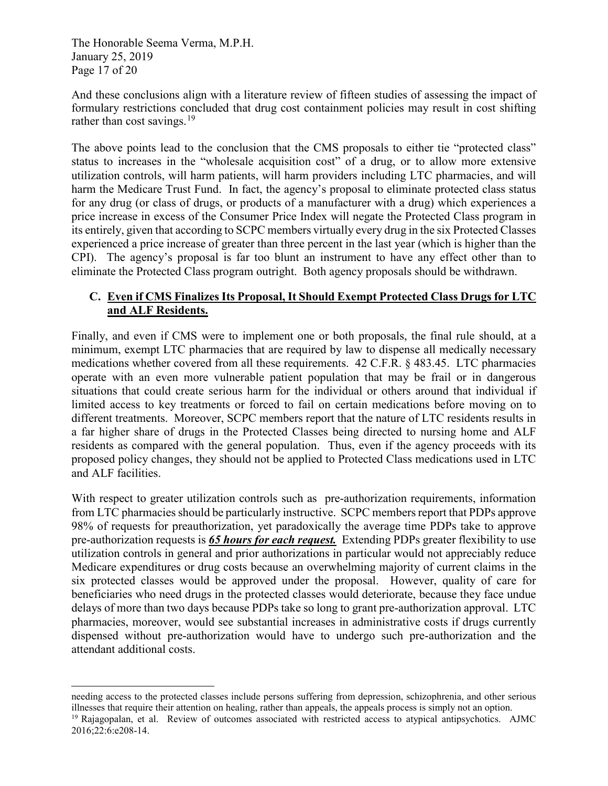The Honorable Seema Verma, M.P.H. January 25, 2019 Page 17 of 20

j

And these conclusions align with a literature review of fifteen studies of assessing the impact of formulary restrictions concluded that drug cost containment policies may result in cost shifting rather than cost savings. $^{19}$  $^{19}$  $^{19}$ 

The above points lead to the conclusion that the CMS proposals to either tie "protected class" status to increases in the "wholesale acquisition cost" of a drug, or to allow more extensive utilization controls, will harm patients, will harm providers including LTC pharmacies, and will harm the Medicare Trust Fund. In fact, the agency's proposal to eliminate protected class status for any drug (or class of drugs, or products of a manufacturer with a drug) which experiences a price increase in excess of the Consumer Price Index will negate the Protected Class program in its entirely, given that according to SCPC members virtually every drug in the six Protected Classes experienced a price increase of greater than three percent in the last year (which is higher than the CPI). The agency's proposal is far too blunt an instrument to have any effect other than to eliminate the Protected Class program outright. Both agency proposals should be withdrawn.

## **C. Even if CMS Finalizes Its Proposal, It Should Exempt Protected Class Drugs for LTC and ALF Residents.**

Finally, and even if CMS were to implement one or both proposals, the final rule should, at a minimum, exempt LTC pharmacies that are required by law to dispense all medically necessary medications whether covered from all these requirements. 42 C.F.R. § 483.45. LTC pharmacies operate with an even more vulnerable patient population that may be frail or in dangerous situations that could create serious harm for the individual or others around that individual if limited access to key treatments or forced to fail on certain medications before moving on to different treatments. Moreover, SCPC members report that the nature of LTC residents results in a far higher share of drugs in the Protected Classes being directed to nursing home and ALF residents as compared with the general population. Thus, even if the agency proceeds with its proposed policy changes, they should not be applied to Protected Class medications used in LTC and ALF facilities.

With respect to greater utilization controls such as pre-authorization requirements, information from LTC pharmacies should be particularly instructive. SCPC members report that PDPs approve 98% of requests for preauthorization, yet paradoxically the average time PDPs take to approve pre-authorization requests is *65 hours for each request.* Extending PDPs greater flexibility to use utilization controls in general and prior authorizations in particular would not appreciably reduce Medicare expenditures or drug costs because an overwhelming majority of current claims in the six protected classes would be approved under the proposal. However, quality of care for beneficiaries who need drugs in the protected classes would deteriorate, because they face undue delays of more than two days because PDPs take so long to grant pre-authorization approval. LTC pharmacies, moreover, would see substantial increases in administrative costs if drugs currently dispensed without pre-authorization would have to undergo such pre-authorization and the attendant additional costs.

needing access to the protected classes include persons suffering from depression, schizophrenia, and other serious illnesses that require their attention on healing, rather than appeals, the appeals process is simply not an option.<br><sup>19</sup> Rajagopalan, et al. Review of outcomes associated with restricted access to atypical antipsychotics.

<span id="page-45-0"></span><sup>2016;22:6:</sup>e208-14.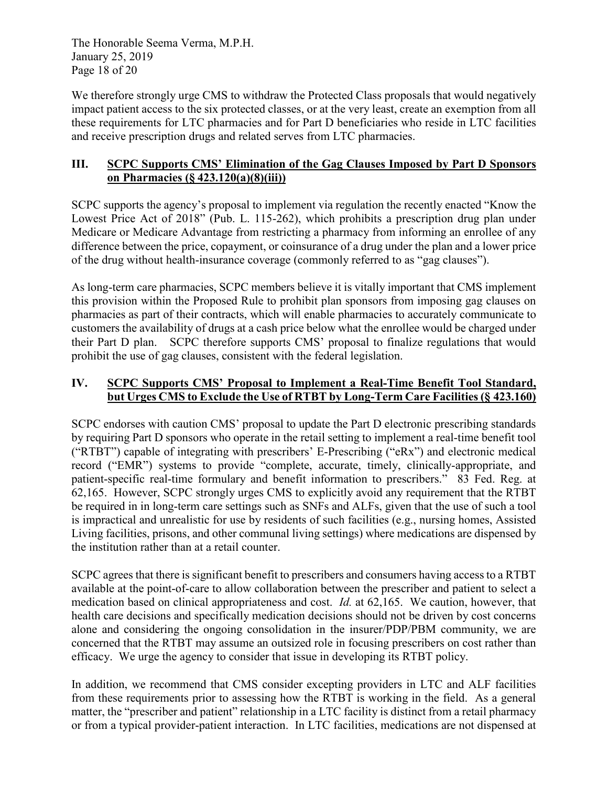The Honorable Seema Verma, M.P.H. January 25, 2019 Page 18 of 20

We therefore strongly urge CMS to withdraw the Protected Class proposals that would negatively impact patient access to the six protected classes, or at the very least, create an exemption from all these requirements for LTC pharmacies and for Part D beneficiaries who reside in LTC facilities and receive prescription drugs and related serves from LTC pharmacies.

# **III. SCPC Supports CMS' Elimination of the Gag Clauses Imposed by Part D Sponsors on Pharmacies (§ 423.120(a)(8)(iii))**

SCPC supports the agency's proposal to implement via regulation the recently enacted "Know the Lowest Price Act of 2018" (Pub. L. 115-262), which prohibits a prescription drug plan under Medicare or Medicare Advantage from restricting a pharmacy from informing an enrollee of any difference between the price, copayment, or coinsurance of a drug under the plan and a lower price of the drug without health-insurance coverage (commonly referred to as "gag clauses").

As long-term care pharmacies, SCPC members believe it is vitally important that CMS implement this provision within the Proposed Rule to prohibit plan sponsors from imposing gag clauses on pharmacies as part of their contracts, which will enable pharmacies to accurately communicate to customers the availability of drugs at a cash price below what the enrollee would be charged under their Part D plan. SCPC therefore supports CMS' proposal to finalize regulations that would prohibit the use of gag clauses, consistent with the federal legislation.

# **IV. SCPC Supports CMS' Proposal to Implement a Real-Time Benefit Tool Standard, but Urges CMS to Exclude the Use of RTBT by Long-Term Care Facilities (§ 423.160)**

SCPC endorses with caution CMS' proposal to update the Part D electronic prescribing standards by requiring Part D sponsors who operate in the retail setting to implement a real-time benefit tool ("RTBT") capable of integrating with prescribers' E-Prescribing ("eRx") and electronic medical record ("EMR") systems to provide "complete, accurate, timely, clinically-appropriate, and patient-specific real-time formulary and benefit information to prescribers." 83 Fed. Reg. at 62,165. However, SCPC strongly urges CMS to explicitly avoid any requirement that the RTBT be required in in long-term care settings such as SNFs and ALFs, given that the use of such a tool is impractical and unrealistic for use by residents of such facilities (e.g., nursing homes, Assisted Living facilities, prisons, and other communal living settings) where medications are dispensed by the institution rather than at a retail counter.

SCPC agrees that there is significant benefit to prescribers and consumers having access to a RTBT available at the point-of-care to allow collaboration between the prescriber and patient to select a medication based on clinical appropriateness and cost. *Id.* at 62,165. We caution, however, that health care decisions and specifically medication decisions should not be driven by cost concerns alone and considering the ongoing consolidation in the insurer/PDP/PBM community, we are concerned that the RTBT may assume an outsized role in focusing prescribers on cost rather than efficacy. We urge the agency to consider that issue in developing its RTBT policy.

In addition, we recommend that CMS consider excepting providers in LTC and ALF facilities from these requirements prior to assessing how the RTBT is working in the field. As a general matter, the "prescriber and patient" relationship in a LTC facility is distinct from a retail pharmacy or from a typical provider-patient interaction. In LTC facilities, medications are not dispensed at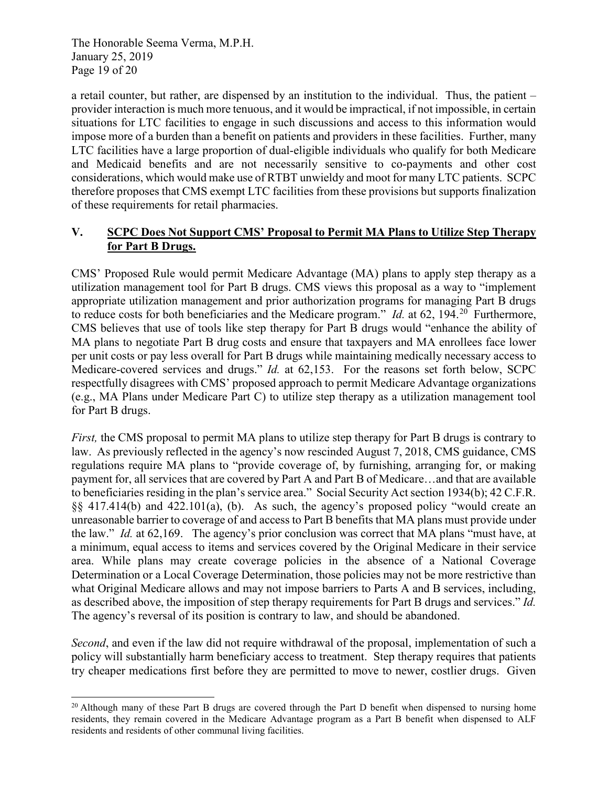The Honorable Seema Verma, M.P.H. January 25, 2019 Page 19 of 20

a retail counter, but rather, are dispensed by an institution to the individual. Thus, the patient – provider interaction is much more tenuous, and it would be impractical, if not impossible, in certain situations for LTC facilities to engage in such discussions and access to this information would impose more of a burden than a benefit on patients and providers in these facilities. Further, many LTC facilities have a large proportion of dual-eligible individuals who qualify for both Medicare and Medicaid benefits and are not necessarily sensitive to co-payments and other cost considerations, which would make use of RTBT unwieldy and moot for many LTC patients. SCPC therefore proposes that CMS exempt LTC facilities from these provisions but supports finalization of these requirements for retail pharmacies.

# **V. SCPC Does Not Support CMS' Proposal to Permit MA Plans to Utilize Step Therapy for Part B Drugs.**

CMS' Proposed Rule would permit Medicare Advantage (MA) plans to apply step therapy as a utilization management tool for Part B drugs. CMS views this proposal as a way to "implement appropriate utilization management and prior authorization programs for managing Part B drugs to reduce costs for both beneficiaries and the Medicare program." *Id.* at 62, 194.[20](#page-47-0) Furthermore, CMS believes that use of tools like step therapy for Part B drugs would "enhance the ability of MA plans to negotiate Part B drug costs and ensure that taxpayers and MA enrollees face lower per unit costs or pay less overall for Part B drugs while maintaining medically necessary access to Medicare-covered services and drugs." *Id.* at 62,153. For the reasons set forth below, SCPC respectfully disagrees with CMS' proposed approach to permit Medicare Advantage organizations (e.g., MA Plans under Medicare Part C) to utilize step therapy as a utilization management tool for Part B drugs.

*First*, the CMS proposal to permit MA plans to utilize step therapy for Part B drugs is contrary to law. As previously reflected in the agency's now rescinded August 7, 2018, CMS guidance, CMS regulations require MA plans to "provide coverage of, by furnishing, arranging for, or making payment for, all services that are covered by Part A and Part B of Medicare…and that are available to beneficiaries residing in the plan's service area." Social Security Act section 1934(b); 42 C.F.R. §§ 417.414(b) and 422.101(a), (b). As such, the agency's proposed policy "would create an unreasonable barrier to coverage of and access to Part B benefits that MA plans must provide under the law." *Id.* at 62,169. The agency's prior conclusion was correct that MA plans "must have, at a minimum, equal access to items and services covered by the Original Medicare in their service area. While plans may create coverage policies in the absence of a National Coverage Determination or a Local Coverage Determination, those policies may not be more restrictive than what Original Medicare allows and may not impose barriers to Parts A and B services, including, as described above, the imposition of step therapy requirements for Part B drugs and services." *Id.* The agency's reversal of its position is contrary to law, and should be abandoned.

*Second*, and even if the law did not require withdrawal of the proposal, implementation of such a policy will substantially harm beneficiary access to treatment. Step therapy requires that patients try cheaper medications first before they are permitted to move to newer, costlier drugs. Given

<span id="page-47-0"></span><sup>-</sup><sup>20</sup> Although many of these Part B drugs are covered through the Part D benefit when dispensed to nursing home residents, they remain covered in the Medicare Advantage program as a Part B benefit when dispensed to ALF residents and residents of other communal living facilities.